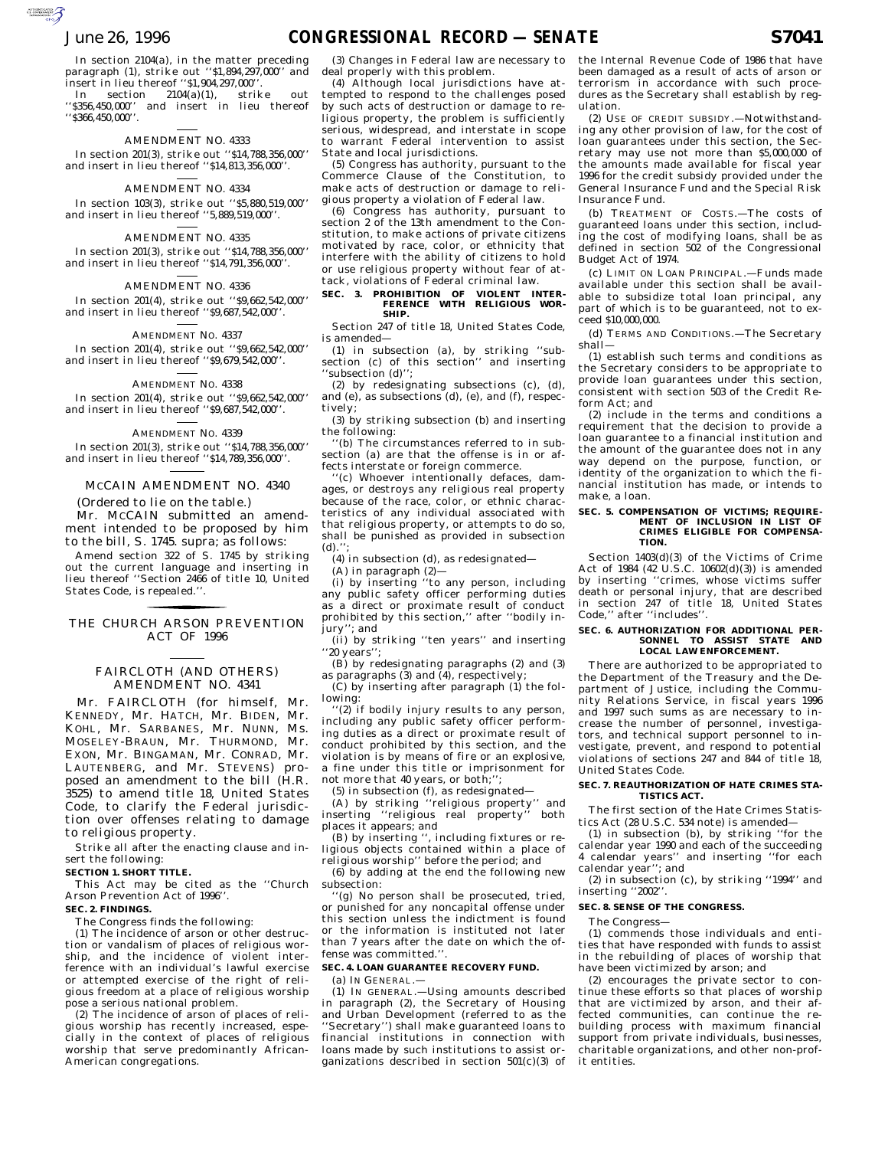$\sum_{\text{SVDMOMG}}$ 

In section 2104(a), in the matter preceding paragraph (1), strike out ''\$1,894,297,000'' and insert in lieu thereof ''\$1,904,297,000''.

In section 2104(a)(1), strike out ''\$356,450,000'' and insert in lieu thereof ''\$366,450,000''.

## AMENDMENT NO. 4333

In section 201(3), strike out ''\$14,788,356,000'' and insert in lieu thereof ''\$14,813,356,000''.

## AMENDMENT NO. 4334

In section 103(3), strike out ''\$5,880,519,000'' and insert in lieu thereof ''5,889,519,000''.

## AMENDMENT NO. 4335

In section 201(3), strike out ''\$14,788,356,000'' and insert in lieu thereof ''\$14,791,356,000''.

### AMENDMENT NO. 4336

In section 201(4), strike out ''\$9,662,542,000'' and insert in lieu thereof ''\$9,687,542,000''.

### AMENDMENT NO. 4337

In section 201(4), strike out ''\$9,662,542,000'' and insert in lieu thereof ''\$9,679,542,000''.

### AMENDMENT NO. 4338

In section 201(4), strike out ''\$9,662,542,000'' and insert in lieu thereof ''\$9,687,542,000''.

### AMENDMENT NO. 4339

In section 201(3), strike out ''\$14,788,356,000'' and insert in lieu thereof ''\$14,789,356,000''.

## MCCAIN AMENDMENT NO. 4340

(Ordered to lie on the table.) Mr. MCCAIN submitted an amendment intended to be proposed by him to the bill, S. 1745. supra; as follows:

Amend section 322 of S. 1745 by striking out the current language and inserting in lieu thereof ''Section 2466 of title 10, United States Code, is repealed.''.

## THE CHURCH ARSON PREVENTION <u>for the contract of the contract of the contract of the contract of the contract of the contract of the contract of the contract of the contract of the contract of the contract of the contract of the contract of the contr</u> ACT OF 1996

## FAIRCLOTH (AND OTHERS) AMENDMENT NO. 4341

Mr. FAIRCLOTH (for himself, Mr. KENNEDY, Mr. HATCH, Mr. BIDEN, Mr. KOHL, Mr. SARBANES, Mr. NUNN, Ms. MOSELEY-BRAUN, Mr. THURMOND, Mr. EXON, Mr. BINGAMAN, Mr. CONRAD, Mr. LAUTENBERG, and Mr. STEVENS) proposed an amendment to the bill (H.R. 3525) to amend title 18, United States Code, to clarify the Federal jurisdiction over offenses relating to damage to religious property.

Strike all after the enacting clause and insert the following:

### **SECTION 1. SHORT TITLE.**

This Act may be cited as the ''Church Arson Prevention Act of 1996''.

## **SEC. 2. FINDINGS.**

The Congress finds the following:

(1) The incidence of arson or other destruction or vandalism of places of religious worship, and the incidence of violent interference with an individual's lawful exercise or attempted exercise of the right of religious freedom at a place of religious worship pose a serious national problem.

(2) The incidence of arson of places of religious worship has recently increased, especially in the context of places of religious worship that serve predominantly African-American congregations.

(3) Changes in Federal law are necessary to deal properly with this problem.

(4) Although local jurisdictions have attempted to respond to the challenges posed by such acts of destruction or damage to religious property, the problem is sufficiently serious, widespread, and interstate in scope to warrant Federal intervention to assist State and local jurisdictions.

(5) Congress has authority, pursuant to the Commerce Clause of the Constitution, to make acts of destruction or damage to religious property a violation of Federal law.

(6) Congress has authority, pursuant to section 2 of the 13th amendment to the Constitution, to make actions of private citizens motivated by race, color, or ethnicity that interfere with the ability of citizens to hold or use religious property without fear of attack, violations of Federal criminal law.

## **SEC. 3. PROHIBITION OF VIOLENT INTER-FERENCE WITH RELIGIOUS WOR-SHIP.**

Section 247 of title 18, United States Code, is amended—

(1) in subsection (a), by striking ''subsection (c) of this section'' and inserting ''subsection (d)'';

(2) by redesignating subsections (c), (d), and (e), as subsections (d), (e), and (f), respectively;

(3) by striking subsection (b) and inserting the following:

''(b) The circumstances referred to in subsection (a) are that the offense is in or affects interstate or foreign commerce.

''(c) Whoever intentionally defaces, damages, or destroys any religious real property because of the race, color, or ethnic characteristics of any individual associated with that religious property, or attempts to do so, shall be punished as provided in subsection (d).'';

(4) in subsection (d), as redesignated—

(A) in paragraph (2)—

(i) by inserting ''to any person, including any public safety officer performing duties as a direct or proximate result of conduct prohibited by this section,'' after ''bodily injury''; and

(ii) by striking ''ten years'' and inserting ''20 years'';

(B) by redesignating paragraphs (2) and (3) as paragraphs (3) and (4), respectively;

(C) by inserting after paragraph (1) the following:

''(2) if bodily injury results to any person, including any public safety officer performing duties as a direct or proximate result of conduct prohibited by this section, and the violation is by means of fire or an explosive, a fine under this title or imprisonment for not more that 40 years, or both;'';

(5) in subsection (f), as redesignated—

(A) by striking ''religious property'' and inserting ''religious real property'' both places it appears; and

(B) by inserting '', including fixtures or religious objects contained within a place of religious worship'' before the period; and

(6) by adding at the end the following new subsection:

''(g) No person shall be prosecuted, tried, or punished for any noncapital offense under this section unless the indictment is found or the information is instituted not later than 7 years after the date on which the offense was committed."

#### **SEC. 4. LOAN GUARANTEE RECOVERY FUND.**

(a) IN GENERAL.—

(1) IN GENERAL.—Using amounts described in paragraph (2), the Secretary of Housing and Urban Development (referred to as the 'Secretary'') shall make guaranteed loans to financial institutions in connection with loans made by such institutions to assist organizations described in section  $501(c)(3)$  of the Internal Revenue Code of 1986 that have been damaged as a result of acts of arson or terrorism in accordance with such procedures as the Secretary shall establish by regulation.

(2) USE OF CREDIT SUBSIDY.—Notwithstanding any other provision of law, for the cost of loan guarantees under this section, the Secretary may use not more than \$5,000,000 of the amounts made available for fiscal year 1996 for the credit subsidy provided under the General Insurance Fund and the Special Risk Insurance Fund.

(b) TREATMENT OF COSTS.—The costs of guaranteed loans under this section, including the cost of modifying loans, shall be as defined in section 502 of the Congressional Budget Act of 1974.

(c) LIMIT ON LOAN PRINCIPAL.—Funds made available under this section shall be available to subsidize total loan principal, any part of which is to be guaranteed, not to exceed \$10,000,000.

(d) TERMS AND CONDITIONS.—The Secretary shall—

(1) establish such terms and conditions as the Secretary considers to be appropriate to provide loan guarantees under this section, consistent with section 503 of the Credit Reform Act; and

(2) include in the terms and conditions a requirement that the decision to provide a loan guarantee to a financial institution and the amount of the guarantee does not in any way depend on the purpose, function, or identity of the organization to which the financial institution has made, or intends to make, a loan.

#### **SEC. 5. COMPENSATION OF VICTIMS; REQUIRE-MENT OF INCLUSION IN LIST OF CRIMES ELIGIBLE FOR COMPENSA-TION.**

Section 1403(d)(3) of the Victims of Crime Act of 1984 (42 U.S.C. 10602(d)(3)) is amended by inserting ''crimes, whose victims suffer death or personal injury, that are described in section 247 of title 18, United States Code,'' after ''includes''.

#### **SEC. 6. AUTHORIZATION FOR ADDITIONAL PER-SONNEL TO ASSIST STATE AND LOCAL LAW ENFORCEMENT.**

There are authorized to be appropriated to the Department of the Treasury and the Department of Justice, including the Community Relations Service, in fiscal years 1996 and 1997 such sums as are necessary to increase the number of personnel, investigators, and technical support personnel to investigate, prevent, and respond to potential violations of sections 247 and 844 of title 18, United States Code.

#### **SEC. 7. REAUTHORIZATION OF HATE CRIMES STA-TISTICS ACT.**

The first section of the Hate Crimes Statistics Act (28 U.S.C. 534 note) is amended—

(1) in subsection (b), by striking ''for the calendar year 1990 and each of the succeeding 4 calendar years'' and inserting ''for each calendar year''; and

(2) in subsection (c), by striking ''1994'' and inserting ''2002''.

### **SEC. 8. SENSE OF THE CONGRESS.**

### The Congress—

(1) commends those individuals and entities that have responded with funds to assist in the rebuilding of places of worship that have been victimized by arson; and

(2) encourages the private sector to continue these efforts so that places of worship that are victimized by arson, and their affected communities, can continue the rebuilding process with maximum financial support from private individuals, businesses, charitable organizations, and other non-profit entities.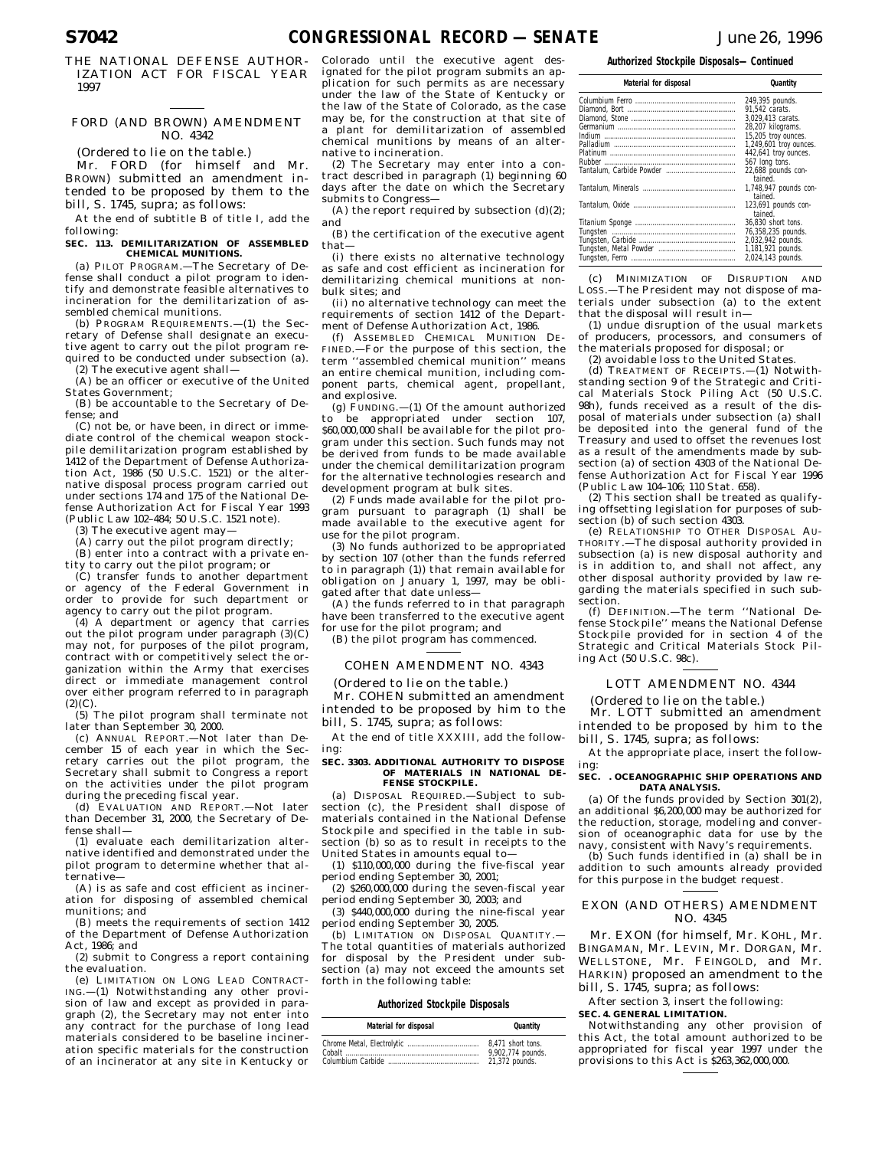THE NATIONAL DEFENSE AUTHOR-IZATION ACT FOR FISCAL YEAR 1997

## FORD (AND BROWN) AMENDMENT NO. 4342

(Ordered to lie on the table.)

Mr. FORD (for himself and Mr. BROWN) submitted an amendment intended to be proposed by them to the bill, S. 1745, supra; as follows:

At the end of subtitle B of title I, add the following:

#### **SEC. 113. DEMILITARIZATION OF ASSEMBLED CHEMICAL MUNITIONS.**

(a) PILOT PROGRAM.—The Secretary of Defense shall conduct a pilot program to identify and demonstrate feasible alternatives to incineration for the demilitarization of assembled chemical munitions.

(b) PROGRAM REQUIREMENTS.—(1) the Secretary of Defense shall designate an executive agent to carry out the pilot program required to be conducted under subsection (a). (2) The executive agent shall—

(A) be an officer or executive of the United States Government;

(B) be accountable to the Secretary of Defense; and

(C) not be, or have been, in direct or immediate control of the chemical weapon stockpile demilitarization program established by 1412 of the Department of Defense Authorization Act, 1986 (50 U.S.C. 1521) or the alternative disposal process program carried out under sections 174 and 175 of the National Defense Authorization Act for Fiscal Year 1993 (Public Law 102–484; 50 U.S.C. 1521 note).

(3) The executive agent may—

(A) carry out the pilot program directly;

(B) enter into a contract with a private entity to carry out the pilot program; or

(C) transfer funds to another department or agency of the Federal Government in order to provide for such department or agency to carry out the pilot program.

(4) A department or agency that carries out the pilot program under paragraph (3)(C) may not, for purposes of the pilot program, contract with or competitively select the organization within the Army that exercises direct or immediate management control over either program referred to in paragraph  $(2)(C)$ .

(5) The pilot program shall terminate not later than September 30, 2000.

(c) ANNUAL REPORT.—Not later than December 15 of each year in which the Secretary carries out the pilot program, the Secretary shall submit to Congress a report on the activities under the pilot program during the preceding fiscal year.

(d) EVALUATION AND REPORT.—Not later than December 31, 2000, the Secretary of Defense shall—

(1) evaluate each demilitarization alternative identified and demonstrated under the pilot program to determine whether that alternative—

(A) is as safe and cost efficient as incineration for disposing of assembled chemical munitions; and

(B) meets the requirements of section 1412 of the Department of Defense Authorization Act, 1986; and

(2) submit to Congress a report containing the evaluation.

(e) LIMITATION ON LONG LEAD CONTRACT-ING.—(1) Notwithstanding any other provision of law and except as provided in paragraph (2), the Secretary may not enter into any contract for the purchase of long lead materials considered to be baseline incineration specific materials for the construction of an incinerator at any site in Kentucky or

Colorado until the executive agent designated for the pilot program submits an application for such permits as are necessary under the law of the State of Kentucky or the law of the State of Colorado, as the case may be, for the construction at that site of a plant for demilitarization of assembled chemical munitions by means of an alternative to incineration.

(2) The Secretary may enter into a contract described in paragraph (1) beginning 60 days after the date on which the Secretary submits to Congress—

(A) the report required by subsection  $(d)(2)$ ; and

(B) the certification of the executive agent that—

(i) there exists no alternative technology as safe and cost efficient as incineration for demilitarizing chemical munitions at nonbulk sites; and

(ii) no alternative technology can meet the requirements of section 1412 of the Department of Defense Authorization Act, 1986.

(f) ASSEMBLED CHEMICAL MUNITION DE-FINED.—For the purpose of this section, the term ''assembled chemical munition'' means an entire chemical munition, including component parts, chemical agent, propellant, and explosive.

(g) FUNDING.—(1) Of the amount authorized to be appropriated under section 107, \$60,000,000 shall be available for the pilot program under this section. Such funds may not be derived from funds to be made available under the chemical demilitarization program for the alternative technologies research and development program at bulk sites.

(2) Funds made available for the pilot program pursuant to paragraph (1) shall be made available to the executive agent for use for the pilot program.

(3) No funds authorized to be appropriated by section 107 (other than the funds referred to in paragraph (1)) that remain available for obligation on January 1, 1997, may be obligated after that date unless—

(A) the funds referred to in that paragraph have been transferred to the executive agent for use for the pilot program; and

(B) the pilot program has commenced.

## COHEN AMENDMENT NO. 4343

(Ordered to lie on the table.)

Mr. COHEN submitted an amendment intended to be proposed by him to the bill, S. 1745, supra; as follows:

At the end of title XXXIII, add the following:

#### **SEC. 3303. ADDITIONAL AUTHORITY TO DISPOSE OF MATERIALS IN NATIONAL DE-FENSE STOCKPILE.**

(a) DISPOSAL REQUIRED.—Subject to subsection (c), the President shall dispose of materials contained in the National Defense Stockpile and specified in the table in subsection (b) so as to result in receipts to the United States in amounts equal to—

(1) \$110,000,000 during the five-fiscal year period ending September 30, 2001;

(2) \$260,000,000 during the seven-fiscal year period ending September 30, 2003; and

(3) \$440,000,000 during the nine-fiscal year period ending September 30, 2005.

(b) LIMITATION ON DISPOSAL QUANTITY. The total quantities of materials authorized for disposal by the President under subsection (a) may not exceed the amounts set forth in the following table:

## **Authorized Stockpile Disposals**

| Material for disposal | Quantity          |
|-----------------------|-------------------|
|                       | 8.471 short tons. |
|                       | 9,902,774 pounds. |
|                       | 21,372 pounds.    |

**Authorized Stockpile Disposals—Continued**

| Material for disposal | Quantity               |
|-----------------------|------------------------|
|                       | 249,395 pounds.        |
|                       | 91.542 carats.         |
|                       | 3.029.413 carats.      |
|                       | 28,207 kilograms.      |
|                       | 15,205 troy ounces.    |
|                       | 1,249,601 troy ounces. |
|                       | 442,641 troy ounces.   |
|                       | 567 long tons.         |
|                       | 22,688 pounds con-     |
|                       | tained.                |
|                       | 1,748,947 pounds con-  |
|                       | tained.                |
|                       | 123,691 pounds con-    |
|                       | tained.                |
|                       | 36,830 short tons.     |
|                       | 76,358,235 pounds.     |
|                       | 2,032,942 pounds.      |
|                       | 1,181,921 pounds.      |
|                       | 2,024,143 pounds.      |

(c) MINIMIZATION OF DISRUPTION AND LOSS.—The President may not dispose of materials under subsection (a) to the extent that the disposal will result in—

(1) undue disruption of the usual markets of producers, processors, and consumers of the materials proposed for disposal; or

(2) avoidable loss to the United States.

(d) TREATMENT OF RECEIPTS.—(1) Notwithstanding section 9 of the Strategic and Critical Materials Stock Piling Act (50 U.S.C. 98h), funds received as a result of the disposal of materials under subsection (a) shall be deposited into the general fund of the Treasury and used to offset the revenues lost as a result of the amendments made by subsection (a) of section 4303 of the National Defense Authorization Act for Fiscal Year 1996 (Public Law 104–106; 110 Stat. 658).

(2) This section shall be treated as qualifying offsetting legislation for purposes of subsection (b) of such section 4303.

(e) RELATIONSHIP TO OTHER DISPOSAL AU-THORITY.—The disposal authority provided in subsection (a) is new disposal authority and is in addition to, and shall not affect, any other disposal authority provided by law regarding the materials specified in such subsection.

(f) DEFINITION.—The term ''National Defense Stockpile'' means the National Defense Stockpile provided for in section 4 of the Strategic and Critical Materials Stock Piling Act (50 U.S.C. 98c).

### LOTT AMENDMENT NO. 4344

(Ordered to lie on the table.)

Mr. LOTT submitted an amendment intended to be proposed by him to the bill, S. 1745, supra; as follows:

At the appropriate place, insert the following:

#### **SEC. . OCEANOGRAPHIC SHIP OPERATIONS AND DATA ANALYSIS.**

(a) Of the funds provided by Section 301(2), an additional \$6,200,000 may be authorized for the reduction, storage, modeling and conversion of oceanographic data for use by the

navy, consistent with Navy's requirements. (b) Such funds identified in (a) shall be in addition to such amounts already provided for this purpose in the budget request.

## EXON (AND OTHERS) AMENDMENT NO. 4345

Mr. EXON (for himself, Mr. KOHL, Mr. BINGAMAN, Mr. LEVIN, Mr. DORGAN, Mr. WELLSTONE, Mr. FEINGOLD, and Mr. HARKIN) proposed an amendment to the bill, S. 1745, supra; as follows:

After section 3, insert the following:

### **SEC. 4. GENERAL LIMITATION.**

Notwithstanding any other provision of this Act, the total amount authorized to be appropriated for fiscal year 1997 under the provisions to this Act is \$263,362,000,000.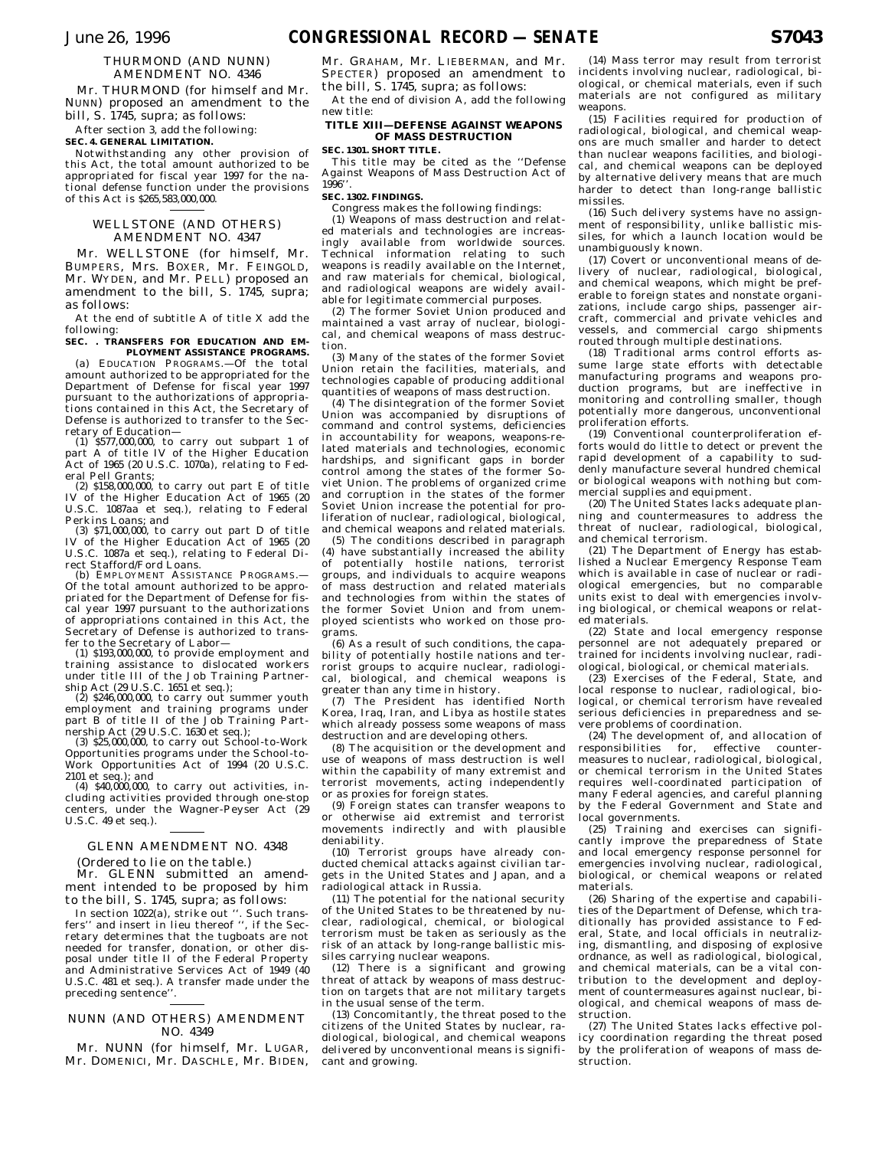## THURMOND (AND NUNN) AMENDMENT NO. 4346

Mr. THURMOND (for himself and Mr. NUNN) proposed an amendment to the bill, S. 1745, supra; as follows:

After section 3, add the following: **SEC. 4. GENERAL LIMITATION.**

Notwithstanding any other provision of this Act, the total amount authorized to be appropriated for fiscal year 1997 for the national defense function under the provisions of this Act is \$265,583,000,000.

## WELLSTONE (AND OTHERS) AMENDMENT NO. 4347

Mr. WELLSTONE (for himself, Mr. BUMPERS, Mrs. BOXER, Mr. FEINGOLD, Mr. WYDEN, and Mr. PELL) proposed an amendment to the bill, S. 1745, supra; as follows:

At the end of subtitle A of title X add the following:

### **SEC. . TRANSFERS FOR EDUCATION AND EM-PLOYMENT ASSISTANCE PROGRAMS.**

(a) EDUCATION PROGRAMS.—Of the total amount authorized to be appropriated for the Department of Defense for fiscal year 1997 pursuant to the authorizations of appropriations contained in this Act, the Secretary of Defense is authorized to transfer to the Secretary of Education—

(1) \$577,000,000, to carry out subpart 1 of part A of title IV of the Higher Education Act of 1965 (20 U.S.C. 1070a), relating to Federal Pell Grants;

 $(2)$  \$158,000,000, to carry out part E of title IV of the Higher Education Act of 1965 (20 U.S.C. 1087aa et seq.), relating to Federal Perkins Loans; and

(3) \$71,000,000, to carry out part D of title IV of the Higher Education Act of 1965 (20 U.S.C. 1087a et seq.), relating to Federal Direct Stafford/Ford Loans.

(b) EMPLOYMENT ASSISTANCE PROGRAMS.— Of the total amount authorized to be appropriated for the Department of Defense for fiscal year 1997 pursuant to the authorizations of appropriations contained in this Act, the Secretary of Defense is authorized to transfer to the Secretary of Labor—

(1) \$193,000,000, to provide employment and training assistance to dislocated workers under title III of the Job Training Partnership Act (29 U.S.C. 1651 et seq.);

 $(2)$  \$246,000,000, to carry out summer youth employment and training programs under part B of title II of the Job Training Partnership Act (29 U.S.C. 1630 et seq.);

(3) \$25,000,000, to carry out School-to-Work Opportunities programs under the School-to-Work Opportunities Act of 1994 (20 U.S.C.

2101 et seq.); and (4) \$40,000,000, to carry out activities, including activities provided through one-stop centers, under the Wagner-Peyser Act (29 U.S.C. 49 et seq.).

## GLENN AMENDMENT NO. 4348

(Ordered to lie on the table.)

Mr. GLENN submitted an amendment intended to be proposed by him to the bill, S. 1745, supra; as follows:

In section 1022(a), strike out ''. Such trans-fers'' and insert in lieu thereof '', if the Secretary determines that the tugboats are not needed for transfer, donation, or other disposal under title II of the Federal Property and Administrative Services Act of 1949 (40 U.S.C. 481 et seq.). A transfer made under the preceding sentence''.

## NUNN (AND OTHERS) AMENDMENT NO. 4349

Mr. NUNN (for himself, Mr. LUGAR, Mr. DOMENICI, Mr. DASCHLE, Mr. BIDEN, Mr. GRAHAM, Mr. LIEBERMAN, and Mr. SPECTER) proposed an amendment to the bill, S. 1745, supra; as follows:

At the end of division A, add the following new title:

## **TITLE XIII—DEFENSE AGAINST WEAPONS OF MASS DESTRUCTION**

### **SEC. 1301. SHORT TITLE.** This title may be cited as the ''Defense

Against Weapons of Mass Destruction Act of 1996''.

## **SEC. 1302. FINDINGS.**

Congress makes the following findings:

(1) Weapons of mass destruction and related materials and technologies are increasingly available from worldwide sources. Technical information relating to such weapons is readily available on the Internet, and raw materials for chemical, biological, and radiological weapons are widely available for legitimate commercial purposes.

(2) The former Soviet Union produced and maintained a vast array of nuclear, biological, and chemical weapons of mass destruction.

(3) Many of the states of the former Soviet Union retain the facilities, materials, and technologies capable of producing additional quantities of weapons of mass destruction.

(4) The disintegration of the former Soviet Union was accompanied by disruptions of command and control systems, deficiencies in accountability for weapons, weapons-related materials and technologies, economic hardships, and significant gaps in border control among the states of the former Soviet Union. The problems of organized crime and corruption in the states of the former Soviet Union increase the potential for proliferation of nuclear, radiological, biological, and chemical weapons and related materials.

(5) The conditions described in paragraph (4) have substantially increased the ability of potentially hostile nations, terrorist groups, and individuals to acquire weapons of mass destruction and related materials and technologies from within the states of the former Soviet Union and from unemployed scientists who worked on those programs.

(6) As a result of such conditions, the capability of potentially hostile nations and terrorist groups to acquire nuclear, radiological, biological, and chemical weapons is greater than any time in history.

(7) The President has identified North Korea, Iraq, Iran, and Libya as hostile states which already possess some weapons of mass destruction and are developing others.

(8) The acquisition or the development and use of weapons of mass destruction is well within the capability of many extremist and terrorist movements, acting independently or as proxies for foreign states.

(9) Foreign states can transfer weapons to or otherwise aid extremist and terrorist movements indirectly and with plausible deniability.

(10) Terrorist groups have already conducted chemical attacks against civilian targets in the United States and Japan, and a radiological attack in Russia.

(11) The potential for the national security of the United States to be threatened by nuclear, radiological, chemical, or biological terrorism must be taken as seriously as the risk of an attack by long-range ballistic missiles carrying nuclear weapons.

(12) There is a significant and growing threat of attack by weapons of mass destruction on targets that are not military targets in the usual sense of the term.

(13) Concomitantly, the threat posed to the citizens of the United States by nuclear, radiological, biological, and chemical weapons delivered by unconventional means is significant and growing.

(14) Mass terror may result from terrorist incidents involving nuclear, radiological, biological, or chemical materials, even if such materials are not configured as military weapons.

(15) Facilities required for production of radiological, biological, and chemical weapons are much smaller and harder to detect than nuclear weapons facilities, and biological, and chemical weapons can be deployed by alternative delivery means that are much harder to detect than long-range ballistic missiles.

(16) Such delivery systems have no assignment of responsibility, unlike ballistic missiles, for which a launch location would be unambiguously known.

(17) Covert or unconventional means of delivery of nuclear, radiological, biological, and chemical weapons, which might be preferable to foreign states and nonstate organizations, include cargo ships, passenger aircraft, commercial and private vehicles and vessels, and commercial cargo shipments routed through multiple destinations.

(18) Traditional arms control efforts assume large state efforts with detectable manufacturing programs and weapons production programs, but are ineffective in monitoring and controlling smaller, though potentially more dangerous, unconventional proliferation efforts.

(19) Conventional counterproliferation efforts would do little to detect or prevent the rapid development of a capability to suddenly manufacture several hundred chemical or biological weapons with nothing but commercial supplies and equipment.

(20) The United States lacks adequate planning and countermeasures to address the threat of nuclear, radiological, biological, and chemical terrorism.

(21) The Department of Energy has established a Nuclear Emergency Response Team which is available in case of nuclear or radiological emergencies, but no comparable units exist to deal with emergencies involving biological, or chemical weapons or related materials.

(22) State and local emergency response personnel are not adequately prepared or trained for incidents involving nuclear, radiological, biological, or chemical materials.

(23) Exercises of the Federal, State, and local response to nuclear, radiological, biological, or chemical terrorism have revealed serious deficiencies in preparedness and severe problems of coordination.

(24) The development of, and allocation of responsibilities for, effective countermeasures to nuclear, radiological, biological, or chemical terrorism in the United States requires well-coordinated participation of many Federal agencies, and careful planning by the Federal Government and State and local governments.

(25) Training and exercises can significantly improve the preparedness of State and local emergency response personnel for emergencies involving nuclear, radiological, biological, or chemical weapons or related materials.

(26) Sharing of the expertise and capabilities of the Department of Defense, which traditionally has provided assistance to Federal, State, and local officials in neutralizing, dismantling, and disposing of explosive ordnance, as well as radiological, biological, and chemical materials, can be a vital contribution to the development and deployment of countermeasures against nuclear, biological, and chemical weapons of mass destruction.

(27) The United States lacks effective policy coordination regarding the threat posed by the proliferation of weapons of mass destruction.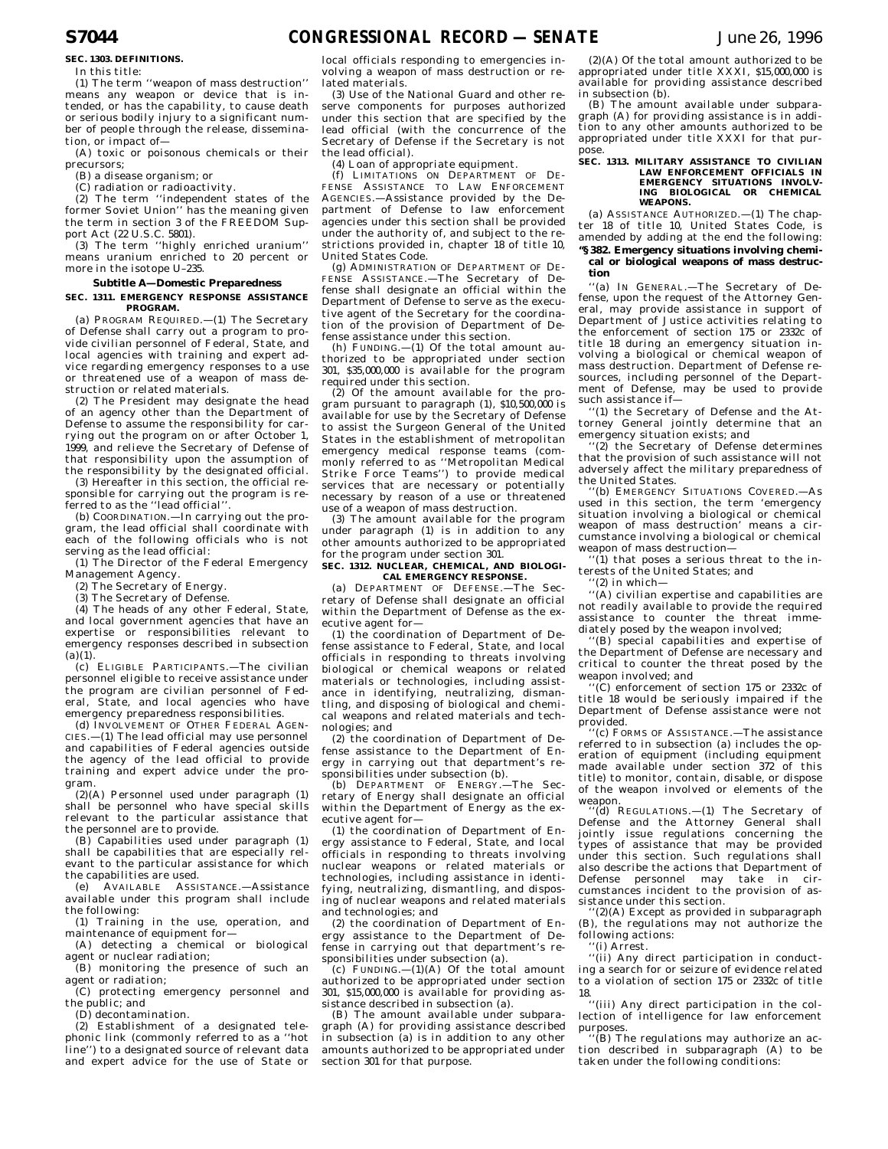## **SEC. 1303. DEFINITIONS.**

In this title:

(1) The term ''weapon of mass destruction'' means any weapon or device that is intended, or has the capability, to cause death or serious bodily injury to a significant number of people through the release, dissemination, or impact of—

(A) toxic or poisonous chemicals or their precursors;

(B) a disease organism; or

(C) radiation or radioactivity.

(2) The term ''independent states of the former Soviet Union'' has the meaning given the term in section 3 of the FREEDOM Support Act (22 U.S.C. 5801).

(3) The term ''highly enriched uranium'' means uranium enriched to 20 percent or more in the isotope U–235.

### **Subtitle A—Domestic Preparedness**

#### **SEC. 1311. EMERGENCY RESPONSE ASSISTANCE PROGRAM.**

(a) PROGRAM REQUIRED.—(1) The Secretary of Defense shall carry out a program to provide civilian personnel of Federal, State, and local agencies with training and expert advice regarding emergency responses to a use or threatened use of a weapon of mass destruction or related materials.

(2) The President may designate the head of an agency other than the Department of Defense to assume the responsibility for carrying out the program on or after October 1, 1999, and relieve the Secretary of Defense of that responsibility upon the assumption of the responsibility by the designated official.

(3) Hereafter in this section, the official responsible for carrying out the program is referred to as the "lead official"

(b) COORDINATION.—In carrying out the program, the lead official shall coordinate with each of the following officials who is not serving as the lead official:

(1) The Director of the Federal Emergency Management Agency.

(2) The Secretary of Energy.

(3) The Secretary of Defense.

(4) The heads of any other Federal, State, and local government agencies that have an expertise or responsibilities relevant to emergency responses described in subsection  $(a)(1)$ .

(c) ELIGIBLE PARTICIPANTS.—The civilian personnel eligible to receive assistance under the program are civilian personnel of Federal, State, and local agencies who have emergency preparedness responsibilities.

(d) INVOLVEMENT OF OTHER FEDERAL AGEN- $CES$ .—(1) The lead official may use personnel and capabilities of Federal agencies outside the agency of the lead official to provide training and expert advice under the program.

(2)(A) Personnel used under paragraph (1) shall be personnel who have special skills relevant to the particular assistance that the personnel are to provide.

(B) Capabilities used under paragraph (1) shall be capabilities that are especially relevant to the particular assistance for which the capabilities are used.

(e) AVAILABLE ASSISTANCE.—Assistance available under this program shall include the following:

(1) Training in the use, operation, and maintenance of equipment for—

(A) detecting a chemical or biological agent or nuclear radiation;

(B) monitoring the presence of such an agent or radiation;

(C) protecting emergency personnel and the public; and

(D) decontamination.

(2) Establishment of a designated telephonic link (commonly referred to as a ''hot line'') to a designated source of relevant data and expert advice for the use of State or

local officials responding to emergencies involving a weapon of mass destruction or related materials.

(3) Use of the National Guard and other reserve components for purposes authorized under this section that are specified by the lead official (with the concurrence of the Secretary of Defense if the Secretary is not the lead official).

(4) Loan of appropriate equipment. (f) LIMITATIONS ON DEPARTMENT OF DE-

FENSE ASSISTANCE TO LAW ENFORCEMENT AGENCIES.—Assistance provided by the Department of Defense to law enforcement agencies under this section shall be provided under the authority of, and subject to the restrictions provided in, chapter 18 of title 10, United States Code.

(g) ADMINISTRATION OF DEPARTMENT OF DE-FENSE ASSISTANCE.—The Secretary of Defense shall designate an official within the Department of Defense to serve as the executive agent of the Secretary for the coordination of the provision of Department of Defense assistance under this section.

(h) FUNDING.—(1) Of the total amount authorized to be appropriated under section 301, \$35,000,000 is available for the program required under this section.

(2) Of the amount available for the program pursuant to paragraph (1), \$10,500,000 is available for use by the Secretary of Defense to assist the Surgeon General of the United States in the establishment of metropolitan emergency medical response teams (commonly referred to as ''Metropolitan Medical Strike Force Teams'') to provide medical services that are necessary or potentially necessary by reason of a use or threatened use of a weapon of mass destruction.

(3) The amount available for the program under paragraph (1) is in addition to any other amounts authorized to be appropriated for the program under section 301.

### **SEC. 1312. NUCLEAR, CHEMICAL, AND BIOLOGI-CAL EMERGENCY RESPONSE.**

(a) DEPARTMENT OF DEFENSE -The Secretary of Defense shall designate an official within the Department of Defense as the executive agent for—

(1) the coordination of Department of Defense assistance to Federal, State, and local officials in responding to threats involving biological or chemical weapons or related materials or technologies, including assistance in identifying, neutralizing, dismantling, and disposing of biological and chemical weapons and related materials and technologies; and

(2) the coordination of Department of Defense assistance to the Department of Energy in carrying out that department's responsibilities under subsection (b).

(b) DEPARTMENT OF ENERGY.—The Secretary of Energy shall designate an official within the Department of Energy as the executive agent for—

(1) the coordination of Department of Energy assistance to Federal, State, and local officials in responding to threats involving nuclear weapons or related materials or technologies, including assistance in identifying, neutralizing, dismantling, and disposing of nuclear weapons and related materials and technologies; and

(2) the coordination of Department of Energy assistance to the Department of Defense in carrying out that department's responsibilities under subsection (a). (c) FUNDING.—(1)(A) Of the total amount

authorized to be appropriated under section 301, \$15,000,000 is available for providing assistance described in subsection (a).

(B) The amount available under subparagraph (A) for providing assistance described in subsection (a) is in addition to any other amounts authorized to be appropriated under section 301 for that purpose.

(2)(A) Of the total amount authorized to be appropriated under title XXXI, \$15,000,000 is available for providing assistance described in subsection (b).

 $(B)$  The amount available under subparagraph (A) for providing assistance is in addition to any other amounts authorized to be appropriated under title XXXI for that purpose.

## **SEC. 1313. MILITARY ASSISTANCE TO CIVILIAN LAW ENFORCEMENT OFFICIALS IN EMERGENCY SITUATIONS INVOLV-ING BIOLOGICAL OR CHEMICAL WEAPONS.**

(a) ASSISTANCE AUTHORIZED.—(1) The chapter 18 of title 10, United States Code, is amended by adding at the end the following: **''§ 382. Emergency situations involving chemical or biological weapons of mass destruction**

''(a) IN GENERAL.—The Secretary of Defense, upon the request of the Attorney General, may provide assistance in support of Department of Justice activities relating to the enforcement of section 175 or 2332c of title 18 during an emergency situation involving a biological or chemical weapon of mass destruction. Department of Defense resources, including personnel of the Department of Defense, may be used to provide such assistance if—

''(1) the Secretary of Defense and the Attorney General jointly determine that an emergency situation exists; and

''(2) the Secretary of Defense determines that the provision of such assistance will not adversely affect the military preparedness of

the United States. ''(b) EMERGENCY SITUATIONS COVERED.—As used in this section, the term 'emergency situation involving a biological or chemical weapon of mass destruction' means a circumstance involving a biological or chemical weapon of mass destruction-

 $\hat{f}(1)$  that poses a serious threat to the interests of the United States; and

'(2) in which-

''(A) civilian expertise and capabilities are not readily available to provide the required assistance to counter the threat immediately posed by the weapon involved;

''(B) special capabilities and expertise of the Department of Defense are necessary and critical to counter the threat posed by the weapon involved; and

''(C) enforcement of section 175 or 2332c of title 18 would be seriously impaired if the Department of Defense assistance were not provided.

''(c) FORMS OF ASSISTANCE.—The assistance referred to in subsection (a) includes the operation of equipment (including equipment made available under section 372 of this title) to monitor, contain, disable, or dispose of the weapon involved or elements of the weapon.

''(d) REGULATIONS.—(1) The Secretary of Defense and the Attorney General shall jointly issue regulations concerning the types of assistance that may be provided under this section. Such regulations shall also describe the actions that Department of Defense personnel may take in circumstances incident to the provision of assistance under this section.

'(2)(A) Except as provided in subparagraph (B), the regulations may not authorize the following actions:

''(i) Arrest.

''(ii) Any direct participation in conducting a search for or seizure of evidence related to a violation of section 175 or 2332c of title 18.

''(iii) Any direct participation in the collection of intelligence for law enforcement purposes.

(B) The regulations may authorize an action described in subparagraph (A) to be taken under the following conditions: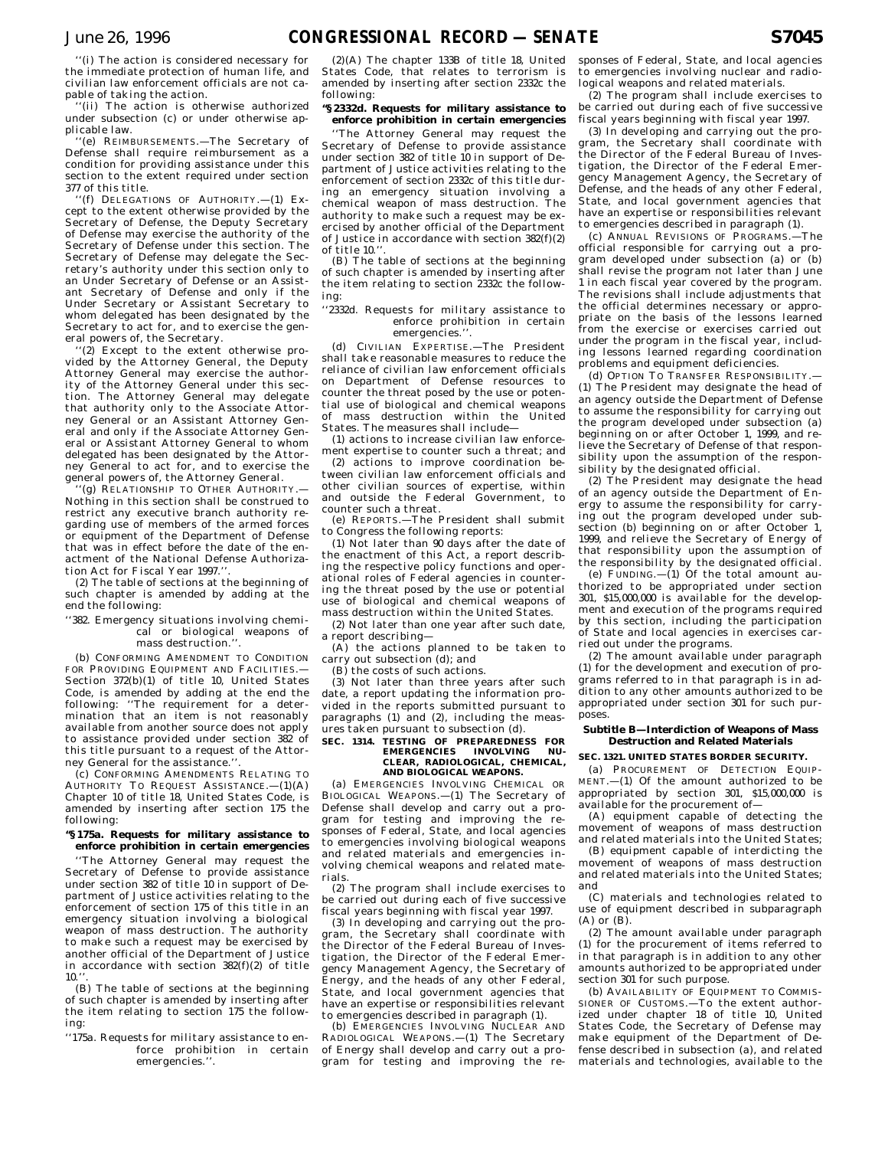''(i) The action is considered necessary for the immediate protection of human life, and civilian law enforcement officials are not capable of taking the action.

'(ii) The action is otherwise authorized under subsection (c) or under otherwise applicable law.

'(e) REIMBURSEMENTS.-The Secretary of Defense shall require reimbursement as a condition for providing assistance under this section to the extent required under section 377 of this title.

''(f) DELEGATIONS OF AUTHORITY.—(1) Except to the extent otherwise provided by the Secretary of Defense, the Deputy Secretary of Defense may exercise the authority of the Secretary of Defense under this section. The Secretary of Defense may delegate the Secretary's authority under this section only to an Under Secretary of Defense or an Assistant Secretary of Defense and only if the Under Secretary or Assistant Secretary to whom delegated has been designated by the Secretary to act for, and to exercise the general powers of, the Secretary.

''(2) Except to the extent otherwise provided by the Attorney General, the Deputy Attorney General may exercise the authority of the Attorney General under this section. The Attorney General may delegate that authority only to the Associate Attorney General or an Assistant Attorney General and only if the Associate Attorney General or Assistant Attorney General to whom delegated has been designated by the Attorney General to act for, and to exercise the general powers of, the Attorney General.

'(g) RELATIONSHIP TO OTHER AUTHORITY.-Nothing in this section shall be construed to restrict any executive branch authority regarding use of members of the armed forces or equipment of the Department of Defense that was in effect before the date of the enactment of the National Defense Authorization Act for Fiscal Year 1997."

(2) The table of sections at the beginning of such chapter is amended by adding at the end the following:

### ''382. Emergency situations involving chemical or biological weapons of mass destruction."

(b) CONFORMING AMENDMENT TO CONDITION FOR PROVIDING EQUIPMENT AND FACILITIES.— Section 372(b)(1) of title 10, United States Code, is amended by adding at the end the following: ''The requirement for a determination that an item is not reasonably available from another source does not apply to assistance provided under section 382 of this title pursuant to a request of the Attorney General for the assistance.'

(c) CONFORMING AMENDMENTS RELATING TO AUTHORITY TO REQUEST ASSISTANCE.—(1)(A) Chapter 10 of title 18, United States Code, is amended by inserting after section 175 the following:

### **''§ 175a. Requests for military assistance to enforce prohibition in certain emergencies**

''The Attorney General may request the Secretary of Defense to provide assistance under section 382 of title  $10$  in support of Department of Justice activities relating to the enforcement of section 175 of this title in an emergency situation involving a biological weapon of mass destruction. The authority to make such a request may be exercised by another official of the Department of Justice in accordance with section  $382(f)(2)$  of title  $10.$ 

(B) The table of sections at the beginning of such chapter is amended by inserting after the item relating to section 175 the following:

''175a. Requests for military assistance to enforce prohibition in certain emergencies.''.

(2)(A) The chapter 133B of title 18, United States Code, that relates to terrorism is amended by inserting after section 2332c the following:

## **''§ 2332d. Requests for military assistance to enforce prohibition in certain emergencies**

''The Attorney General may request the Secretary of Defense to provide assistance under section 382 of title 10 in support of Department of Justice activities relating to the enforcement of section 2332c of this title during an emergency situation involving a chemical weapon of mass destruction. The authority to make such a request may be exercised by another official of the Department of Justice in accordance with section 382(f)(2) of title 10

(B) The table of sections at the beginning of such chapter is amended by inserting after the item relating to section 2332c the following:

### ''2332d. Requests for military assistance to enforce prohibition in certain emergencies.''.

(d) CIVILIAN EXPERTISE.—The President shall take reasonable measures to reduce the reliance of civilian law enforcement officials on Department of Defense resources to counter the threat posed by the use or potential use of biological and chemical weapons of mass destruction within the United States. The measures shall include—

(1) actions to increase civilian law enforcement expertise to counter such a threat; and

(2) actions to improve coordination between civilian law enforcement officials and other civilian sources of expertise, within and outside the Federal Government, to counter such a threat.

(e) REPORTS.—The President shall submit to Congress the following reports:

(1) Not later than 90 days after the date of the enactment of this Act, a report describing the respective policy functions and operational roles of Federal agencies in countering the threat posed by the use or potential use of biological and chemical weapons of mass destruction within the United States.

(2) Not later than one year after such date, a report describing—

(A) the actions planned to be taken to carry out subsection (d); and

(B) the costs of such actions.

(3) Not later than three years after such date, a report updating the information provided in the reports submitted pursuant to paragraphs (1) and (2), including the measures taken pursuant to subsection (d).

## **SEC. 1314. TESTING OF PREPAREDNESS FOR EMERGENCIES INVOLVING NU-CLEAR, RADIOLOGICAL, CHEMICAL, AND BIOLOGICAL WEAPONS.**

(a) EMERGENCIES INVOLVING CHEMICAL OR BIOLOGICAL WEAPONS.—(1) The Secretary of Defense shall develop and carry out a program for testing and improving the responses of Federal, State, and local agencies to emergencies involving biological weapons and related materials and emergencies involving chemical weapons and related materials.

(2) The program shall include exercises to be carried out during each of five successive fiscal years beginning with fiscal year 1997.

(3) In developing and carrying out the program, the Secretary shall coordinate with the Director of the Federal Bureau of Investigation, the Director of the Federal Emergency Management Agency, the Secretary of Energy, and the heads of any other Federal, State, and local government agencies that have an expertise or responsibilities relevant to emergencies described in paragraph (1).

(b) EMERGENCIES INVOLVING NUCLEAR AND RADIOLOGICAL WEAPONS.—(1) The Secretary of Energy shall develop and carry out a program for testing and improving the re-

sponses of Federal, State, and local agencies to emergencies involving nuclear and radiological weapons and related materials.

(2) The program shall include exercises to be carried out during each of five successive fiscal years beginning with fiscal year 1997.

(3) In developing and carrying out the program, the Secretary shall coordinate with the Director of the Federal Bureau of Investigation, the Director of the Federal Emergency Management Agency, the Secretary of Defense, and the heads of any other Federal, State, and local government agencies that have an expertise or responsibilities relevant to emergencies described in paragraph (1).

(c) ANNUAL REVISIONS OF PROGRAMS.—The official responsible for carrying out a program developed under subsection (a) or (b) shall revise the program not later than June 1 in each fiscal year covered by the program. The revisions shall include adjustments that the official determines necessary or appropriate on the basis of the lessons learned from the exercise or exercises carried out under the program in the fiscal year, including lessons learned regarding coordination problems and equipment deficiencies.

(d) OPTION TO TRANSFER RESPONSIBILITY.— (1) The President may designate the head of an agency outside the Department of Defense to assume the responsibility for carrying out the program developed under subsection (a) beginning on or after October 1, 1999, and relieve the Secretary of Defense of that responsibility upon the assumption of the responsibility by the designated official.

(2) The President may designate the head of an agency outside the Department of Energy to assume the responsibility for carrying out the program developed under subsection (b) beginning on or after October 1, 1999, and relieve the Secretary of Energy of that responsibility upon the assumption of the responsibility by the designated official.

(e)  $FUNDING. — (1)$  Of the total amount authorized to be appropriated under section 301, \$15,000,000 is available for the development and execution of the programs required by this section, including the participation of State and local agencies in exercises carried out under the programs.

(2) The amount available under paragraph (1) for the development and execution of programs referred to in that paragraph is in addition to any other amounts authorized to be appropriated under section 301 for such purposes.

## **Subtitle B—Interdiction of Weapons of Mass Destruction and Related Materials**

## **SEC. 1321. UNITED STATES BORDER SECURITY.**

(a) PROCUREMENT OF DETECTION EQUIP-MENT.—(1) Of the amount authorized to be appropriated by section 301, \$15,000,000 is available for the procurement of—

(A) equipment capable of detecting the movement of weapons of mass destruction and related materials into the United States;

(B) equipment capable of interdicting the movement of weapons of mass destruction and related materials into the United States; and

(C) materials and technologies related to use of equipment described in subparagraph (A) or (B).

(2) The amount available under paragraph (1) for the procurement of items referred to in that paragraph is in addition to any other amounts authorized to be appropriated under section 301 for such purpose.

(b) AVAILABILITY OF EQUIPMENT TO COMMIS-SIONER OF CUSTOMS.—To the extent authorized under chapter 18 of title 10, United States Code, the Secretary of Defense may make equipment of the Department of Defense described in subsection (a), and related materials and technologies, available to the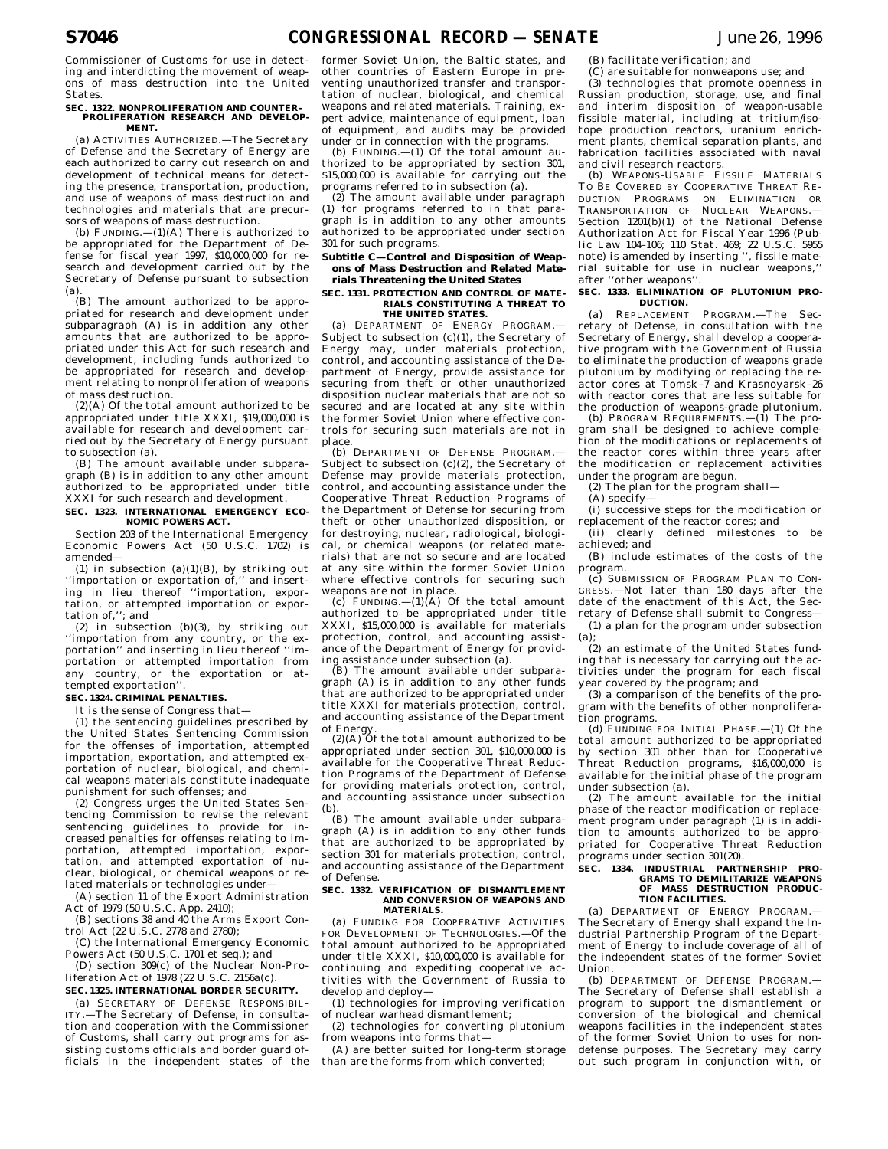Commissioner of Customs for use in detecting and interdicting the movement of weapons of mass destruction into the United States.

#### **SEC. 1322. NONPROLIFERATION AND COUNTER-PROLIFERATION RESEARCH AND DEVELOP-MENT.**

(a) ACTIVITIES AUTHORIZED.—The Secretary of Defense and the Secretary of Energy are each authorized to carry out research on and development of technical means for detecting the presence, transportation, production, and use of weapons of mass destruction and technologies and materials that are precursors of weapons of mass destruction.

(b)  $FUNDING. - (1)(A)$  There is authorized to be appropriated for the Department of Defense for fiscal year 1997, \$10,000,000 for research and development carried out by the Secretary of Defense pursuant to subsection (a).

(B) The amount authorized to be appropriated for research and development under subparagraph (A) is in addition any other amounts that are authorized to be appropriated under this Act for such research and development, including funds authorized to be appropriated for research and development relating to nonproliferation of weapons of mass destruction.

(2)(A) Of the total amount authorized to be appropriated under title XXXI, \$19,000,000 is available for research and development carried out by the Secretary of Energy pursuant to subsection (a).

(B) The amount available under subparagraph (B) is in addition to any other amount authorized to be appropriated under title XXXI for such research and development.

### **SEC. 1323. INTERNATIONAL EMERGENCY ECO-NOMIC POWERS ACT.**

Section 203 of the International Emergency Economic Powers Act (50 U.S.C. 1702) is amended—

(1) in subsection  $(a)(1)(B)$ , by striking out ''importation or exportation of,'' and inserting in lieu thereof ''importation, exportation, or attempted importation or exportation of,''; and

(2) in subsection (b)(3), by striking out ''importation from any country, or the exportation'' and inserting in lieu thereof ''importation or attempted importation from any country, or the exportation or attempted exportation''.

## **SEC. 1324. CRIMINAL PENALTIES.**

It is the sense of Congress that—

(1) the sentencing guidelines prescribed by the United States Sentencing Commission for the offenses of importation, attempted importation, exportation, and attempted exportation of nuclear, biological, and chemical weapons materials constitute inadequate punishment for such offenses; and

(2) Congress urges the United States Sentencing Commission to revise the relevant sentencing guidelines to provide for increased penalties for offenses relating to importation, attempted importation, exportation, and attempted exportation of nuclear, biological, or chemical weapons or related materials or technologies under—

(A) section 11 of the Export Administration Act of 1979 (50 U.S.C. App. 2410);

(B) sections 38 and 40 the Arms Export Control Act (22 U.S.C. 2778 and 2780);

(C) the International Emergency Economic Powers Act (50 U.S.C. 1701 et seq.); and

(D) section 309(c) of the Nuclear Non-Proliferation Act of 1978 (22 U.S.C. 2156a(c).

### **SEC. 1325. INTERNATIONAL BORDER SECURITY.** (a) SECRETARY OF DEFENSE RESPONSIBIL-

ITY.—The Secretary of Defense, in consultation and cooperation with the Commissioner of Customs, shall carry out programs for assisting customs officials and border guard officials in the independent states of the

former Soviet Union, the Baltic states, and other countries of Eastern Europe in preventing unauthorized transfer and transportation of nuclear, biological, and chemical weapons and related materials. Training, expert advice, maintenance of equipment, loan of equipment, and audits may be provided under or in connection with the programs.

(b) FUNDING. $-(1)$  Of the total amount authorized to be appropriated by section 301, \$15,000,000 is available for carrying out the programs referred to in subsection (a).

(2) The amount available under paragraph (1) for programs referred to in that paragraph is in addition to any other amounts authorized to be appropriated under section 301 for such programs.

## **Subtitle C—Control and Disposition of Weapons of Mass Destruction and Related Materials Threatening the United States**

## **SEC. 1331. PROTECTION AND CONTROL OF MATE-RIALS CONSTITUTING A THREAT TO**

### **THE UNITED STATES.**

(a) DEPARTMENT OF ENERGY PROGRAM.— Subject to subsection  $(c)(1)$ , the Secretary of Energy may, under materials protection, control, and accounting assistance of the Department of Energy, provide assistance for securing from theft or other unauthorized disposition nuclear materials that are not so secured and are located at any site within the former Soviet Union where effective controls for securing such materials are not in place.

(b) DEPARTMENT OF DEFENSE PROGRAM.-Subject to subsection  $(c)(2)$ , the Secretary of Defense may provide materials protection, control, and accounting assistance under the Cooperative Threat Reduction Programs of the Department of Defense for securing from theft or other unauthorized disposition, or for destroying, nuclear, radiological, biological, or chemical weapons (or related materials) that are not so secure and are located at any site within the former Soviet Union where effective controls for securing such

weapons are not in place. (c) FUNDING.—(1)(A) Of the total amount authorized to be appropriated under title XXXI, \$15,000,000 is available for materials protection, control, and accounting assistance of the Department of Energy for providing assistance under subsection (a).

(B) The amount available under subparagraph (A) is in addition to any other funds that are authorized to be appropriated under title XXXI for materials protection, control, and accounting assistance of the Department of Energy.

 $(2)$ (A) Of the total amount authorized to be appropriated under section 301, \$10,000,000 is available for the Cooperative Threat Reduction Programs of the Department of Defense for providing materials protection, control, and accounting assistance under subsection (b).

(B) The amount available under subparagraph (A) is in addition to any other funds that are authorized to be appropriated by section 301 for materials protection, control, and accounting assistance of the Department of Defense.

#### **SEC. 1332. VERIFICATION OF DISMANTLEMENT AND CONVERSION OF WEAPONS AND MATERIALS.**

(a) FUNDING FOR COOPERATIVE ACTIVITIES FOR DEVELOPMENT OF TECHNOLOGIES.—Of the total amount authorized to be appropriated under title XXXI, \$10,000,000 is available for continuing and expediting cooperative activities with the Government of Russia to develop and deploy—

(1) technologies for improving verification of nuclear warhead dismantlement;

(2) technologies for converting plutonium from weapons into forms that—

(A) are better suited for long-term storage than are the forms from which converted;

(B) facilitate verification; and

(C) are suitable for nonweapons use; and

(3) technologies that promote openness in Russian production, storage, use, and final and interim disposition of weapon-usable fissible material, including at tritium/isotope production reactors, uranium enrichment plants, chemical separation plants, and fabrication facilities associated with naval and civil research reactors.

(b) WEAPONS-USABLE FISSILE MATERIALS TO BE COVERED BY COOPERATIVE THREAT RE-DUCTION PROGRAMS ON ELIMINATION OR TRANSPORTATION OF NUCLEAR WEAPONS.— Section 1201(b)(1) of the National Defense Authorization Act for Fiscal Year 1996 (Public Law 104–106; 110 Stat. 469; 22 U.S.C. 5955 note) is amended by inserting '', fissile material suitable for use in nuclear weapons,'' after ''other weapons''.

### **SEC. 1333. ELIMINATION OF PLUTONIUM PRO-DUCTION.**

(a) REPLACEMENT PROGRAM.—The Secretary of Defense, in consultation with the Secretary of Energy, shall develop a cooperative program with the Government of Russia to eliminate the production of weapons grade plutonium by modifying or replacing the reactor cores at Tomsk–7 and Krasnoyarsk–26 with reactor cores that are less suitable for the production of weapons-grade plutonium. (b) PROGRAM REQUIREMENTS.—(1) The pro-

gram shall be designed to achieve completion of the modifications or replacements of the reactor cores within three years after the modification or replacement activities under the program are begun.

(2) The plan for the program shall—

(A) specify—

(i) successive steps for the modification or replacement of the reactor cores; and

(ii) clearly defined milestones to be achieved; and

(B) include estimates of the costs of the program.

(c) SUBMISSION OF PROGRAM PLAN TO CON-GRESS.—Not later than 180 days after the date of the enactment of this Act, the Secretary of Defense shall submit to Congress—

(1) a plan for the program under subsection (a);

(2) an estimate of the United States funding that is necessary for carrying out the activities under the program for each fiscal year covered by the program; and

(3) a comparison of the benefits of the program with the benefits of other nonproliferation programs.

(d) FUNDING FOR INITIAL PHASE.—(1) Of the total amount authorized to be appropriated by section 301 other than for Cooperative Threat Reduction programs, \$16,000,000 is available for the initial phase of the program under subsection (a).

(2) The amount available for the initial phase of the reactor modification or replacement program under paragraph (1) is in addition to amounts authorized to be appropriated for Cooperative Threat Reduction programs under section 301(20).

## **SEC. 1334. INDUSTRIAL PARTNERSHIP PRO-GRAMS TO DEMILITARIZE WEAPONS OF MASS DESTRUCTION PRODUC-TION FACILITIES.**

(a) DEPARTMENT OF ENERGY PROGRAM.— The Secretary of Energy shall expand the Industrial Partnership Program of the Department of Energy to include coverage of all of the independent states of the former Soviet Union.

(b) DEPARTMENT OF DEFENSE PROGRAM. The Secretary of Defense shall establish a program to support the dismantlement or conversion of the biological and chemical weapons facilities in the independent states of the former Soviet Union to uses for nondefense purposes. The Secretary may carry out such program in conjunction with, or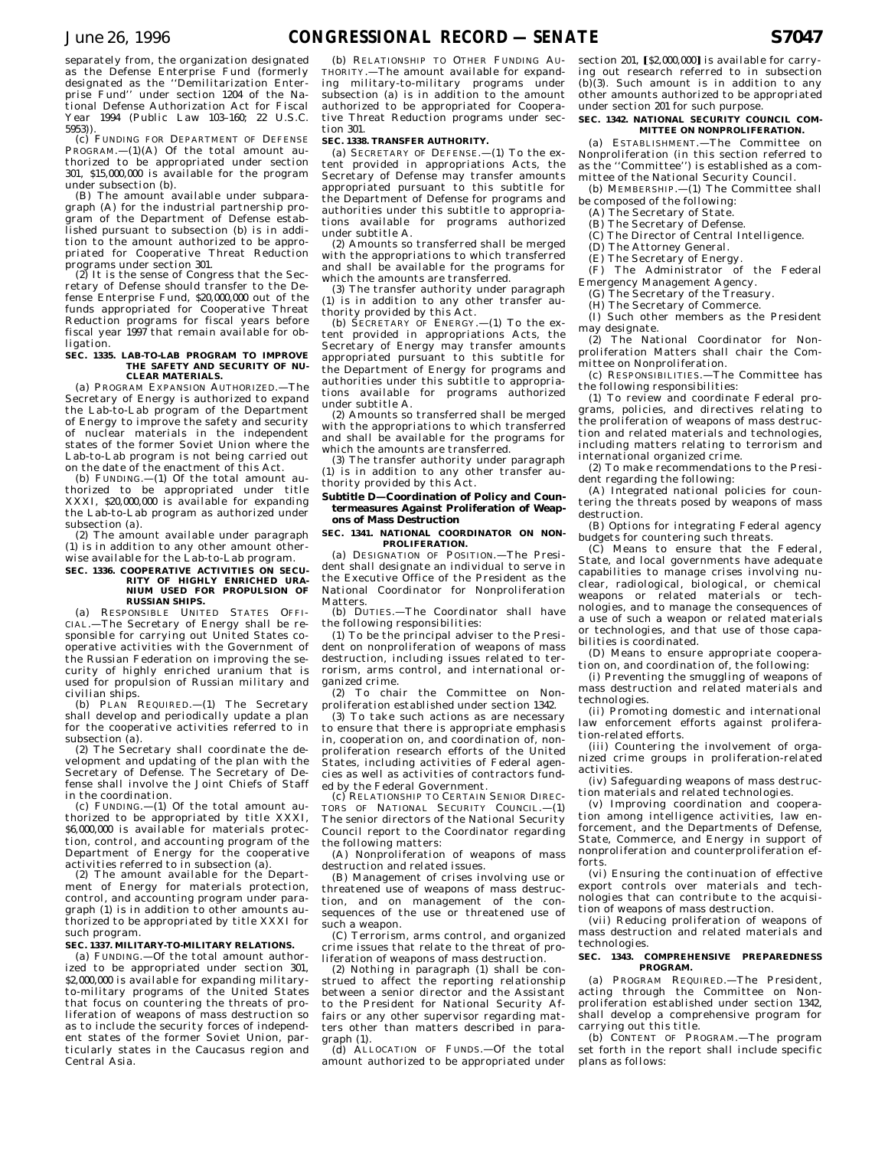separately from, the organization designated as the Defense Enterprise Fund (formerly designated as the ''Demilitarization Enterprise Fund'' under section 1204 of the National Defense Authorization Act for Fiscal Year 1994 (Public Law 103–160; 22 U.S.C. 5953)).

(c) FUNDING FOR DEPARTMENT OF DEFENSE  $PROGRAM.$ —(1)(A) Of the total amount authorized to be appropriated under section 301, \$15,000,000 is available for the program under subsection (b). (B) The amount available under subpara-

graph (A) for the industrial partnership pro-gram of the Department of Defense established pursuant to subsection (b) is in addition to the amount authorized to be appropriated for Cooperative Threat Reduction programs under section 301.

(2) It is the sense of Congress that the Secretary of Defense should transfer to the Defense Enterprise Fund, \$20,000,000 out of the funds appropriated for Cooperative Threat Reduction programs for fiscal years before fiscal year 1997 that remain available for obligation.

#### **SEC. 1335. LAB-TO-LAB PROGRAM TO IMPROVE THE SAFETY AND SECURITY OF NU-CLEAR MATERIALS.**

(a) PROGRAM EXPANSION AUTHORIZED.—The Secretary of Energy is authorized to expand the Lab-to-Lab program of the Department of Energy to improve the safety and security of nuclear materials in the independent states of the former Soviet Union where the Lab-to-Lab program is not being carried out on the date of the enactment of this Act.

(b) FUNDING.—(1) Of the total amount authorized to be appropriated under title XXXI, \$20,000,000 is available for expanding the Lab-to-Lab program as authorized under subsection (a).

(2) The amount available under paragraph (1) is in addition to any other amount otherwise available for the Lab-to-Lab program.

## **SEC. 1336. COOPERATIVE ACTIVITIES ON SECU-RITY OF HIGHLY ENRICHED URA-NIUM USED FOR PROPULSION OF RUSSIAN SHIPS.**

(a) RESPONSIBLE UNITED STATES OFFI-CIAL.—The Secretary of Energy shall be responsible for carrying out United States cooperative activities with the Government of the Russian Federation on improving the security of highly enriched uranium that is used for propulsion of Russian military and civilian ships.

(b) PLAN REQUIRED.—(1) The Secretary shall develop and periodically update a plan for the cooperative activities referred to in subsection (a).

(2) The Secretary shall coordinate the development and updating of the plan with the Secretary of Defense. The Secretary of Defense shall involve the Joint Chiefs of Staff in the coordination.

(c) FUNDING.—(1) Of the total amount authorized to be appropriated by title XXXI, \$6,000,000 is available for materials protection, control, and accounting program of the Department of Energy for the cooperative activities referred to in subsection (a).

(2) The amount available for the Department of Energy for materials protection, control, and accounting program under paragraph (1) is in addition to other amounts authorized to be appropriated by title XXXI for such program.

## **SEC. 1337. MILITARY-TO-MILITARY RELATIONS.**

(a) FUNDING.—Of the total amount authorized to be appropriated under section 301, \$2,000,000 is available for expanding militaryto-military programs of the United States that focus on countering the threats of proliferation of weapons of mass destruction so as to include the security forces of independent states of the former Soviet Union, particularly states in the Caucasus region and Central Asia.

(b) RELATIONSHIP TO OTHER FUNDING AU-THORITY.—The amount available for expanding military-to-military programs under subsection (a) is in addition to the amount authorized to be appropriated for Cooperative Threat Reduction programs under section 301.

## **SEC. 1338. TRANSFER AUTHORITY.**

(a) SECRETARY OF DEFENSE.—(1) To the extent provided in appropriations Acts, the Secretary of Defense may transfer amounts appropriated pursuant to this subtitle for the Department of Defense for programs and authorities under this subtitle to appropriations available for programs authorized under subtitle A.

(2) Amounts so transferred shall be merged with the appropriations to which transferred and shall be available for the programs for which the amounts are transferred.

(3) The transfer authority under paragraph (1) is in addition to any other transfer authority provided by this Act. (b) SECRETARY OF ENERGY.—(1) To the ex-

tent provided in appropriations Acts, the Secretary of Energy may transfer amounts appropriated pursuant to this subtitle for the Department of Energy for programs and authorities under this subtitle to appropriations available for programs authorized under subtitle A.

(2) Amounts so transferred shall be merged with the appropriations to which transferred and shall be available for the programs for which the amounts are transferred.

(3) The transfer authority under paragraph (1) is in addition to any other transfer authority provided by this Act.

## **Subtitle D—Coordination of Policy and Countermeasures Against Proliferation of Weapons of Mass Destruction**

### **SEC. 1341. NATIONAL COORDINATOR ON NON-PROLIFERATION.**

(a) DESIGNATION OF POSITION.—The President shall designate an individual to serve in the Executive Office of the President as the National Coordinator for Nonproliferation Matters.

(b) DUTIES.—The Coordinator shall have the following responsibilities:

(1) To be the principal adviser to the President on nonproliferation of weapons of mass destruction, including issues related to terrorism, arms control, and international organized crime.

(2) To chair the Committee on Nonproliferation established under section 1342.

(3) To take such actions as are necessary to ensure that there is appropriate emphasis in, cooperation on, and coordination of, nonproliferation research efforts of the United States, including activities of Federal agencies as well as activities of contractors funded by the Federal Government.

(c) RELATIONSHIP TO CERTAIN SENIOR DIREC-TORS OF NATIONAL SECURITY COUNCIL.—(1) The senior directors of the National Security Council report to the Coordinator regarding the following matters:

(A) Nonproliferation of weapons of mass destruction and related issues.

(B) Management of crises involving use or threatened use of weapons of mass destruction, and on management of the consequences of the use or threatened use of such a weapon.

(C) Terrorism, arms control, and organized crime issues that relate to the threat of proliferation of weapons of mass destruction.

(2) Nothing in paragraph (1) shall be construed to affect the reporting relationship between a senior director and the Assistant to the President for National Security Affairs or any other supervisor regarding matters other than matters described in paragraph (1).

(d) ALLOCATION OF FUNDS.—Of the total amount authorized to be appropriated under

section 201,  $\S2,000,000$  is available for carry ing out research referred to in subsection  $(b)$  $(3)$ . Such amount is in addition to any other amounts authorized to be appropriated under section 201 for such purpose.

### **SEC. 1342. NATIONAL SECURITY COUNCIL COM-MITTEE ON NONPROLIFERATION.**

(a) ESTABLISHMENT.—The Committee on Nonproliferation (in this section referred to as the ''Committee'') is established as a committee of the National Security Council.

(b) MEMBERSHIP.—(1) The Committee shall be composed of the following:

(A) The Secretary of State.

- (B) The Secretary of Defense.
- (C) The Director of Central Intelligence.
- (D) The Attorney General.
- (E) The Secretary of Energy.
- (F) The Administrator of the Federal Emergency Management Agency.
	- (G) The Secretary of the Treasury.

(H) The Secretary of Commerce.

(I) Such other members as the President may designate.

(2) The National Coordinator for Nonproliferation Matters shall chair the Com-.<br>mittee on Nonproliferation.

(c) RESPONSIBILITIES.—The Committee has the following responsibilities:

(1) To review and coordinate Federal programs, policies, and directives relating to the proliferation of weapons of mass destruction and related materials and technologies, including matters relating to terrorism and international organized crime.

(2) To make recommendations to the President regarding the following:

(A) Integrated national policies for countering the threats posed by weapons of mass destruction.

(B) Options for integrating Federal agency budgets for countering such threats.

(C) Means to ensure that the Federal, State, and local governments have adequate capabilities to manage crises involving nuclear, radiological, biological, or chemical weapons or related materials or technologies, and to manage the consequences of a use of such a weapon or related materials or technologies, and that use of those capabilities is coordinated.

(D) Means to ensure appropriate cooperation on, and coordination of, the following:

(i) Preventing the smuggling of weapons of mass destruction and related materials and technologies.

(ii) Promoting domestic and international law enforcement efforts against proliferation-related efforts.

(iii) Countering the involvement of organized crime groups in proliferation-related activities.

(iv) Safeguarding weapons of mass destruction materials and related technologies.

(v) Improving coordination and cooperation among intelligence activities, law enforcement, and the Departments of Defense, State, Commerce, and Energy in support of nonproliferation and counterproliferation efforts.

(vi) Ensuring the continuation of effective export controls over materials and technologies that can contribute to the acquisition of weapons of mass destruction.

(vii) Reducing proliferation of weapons of mass destruction and related materials and technologies.

# **SEC. 1343. COMPREHENSIVE PREPAREDNESS PROGRAM.**

(a) PROGRAM REQUIRED.—The President, acting through the Committee on Nonproliferation established under section 1342, shall develop a comprehensive program for carrying out this title.

(b) CONTENT OF PROGRAM.—The program set forth in the report shall include specific plans as follows: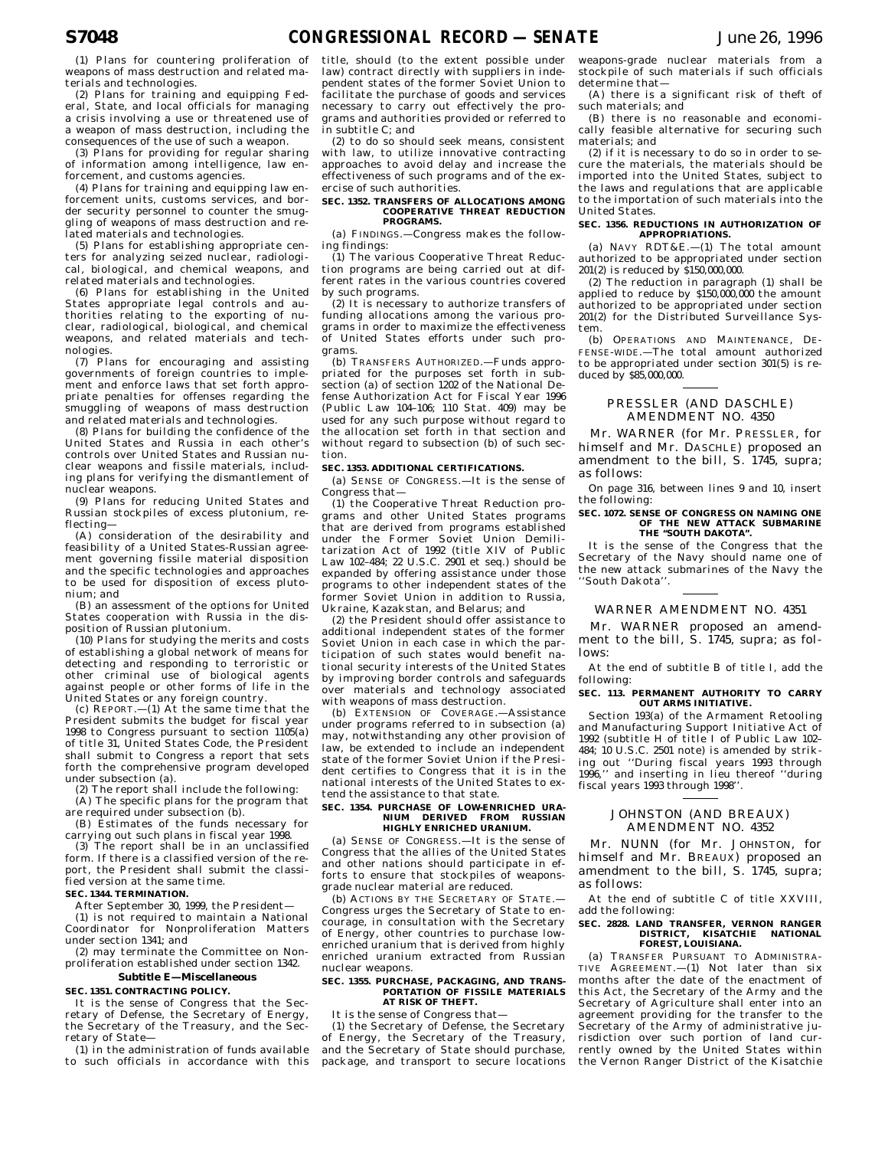(1) Plans for countering proliferation of weapons of mass destruction and related materials and technologies.

(2) Plans for training and equipping Federal, State, and local officials for managing a crisis involving a use or threatened use of a weapon of mass destruction, including the consequences of the use of such a weapon.

(3) Plans for providing for regular sharing of information among intelligence, law enforcement, and customs agencies.

(4) Plans for training and equipping law enforcement units, customs services, and border security personnel to counter the smuggling of weapons of mass destruction and related materials and technologies.

(5) Plans for establishing appropriate centers for analyzing seized nuclear, radiological, biological, and chemical weapons, and related materials and technologies.

(6) Plans for establishing in the United States appropriate legal controls and authorities relating to the exporting of nuclear, radiological, biological, and chemical weapons, and related materials and technologies.

(7) Plans for encouraging and assisting governments of foreign countries to implement and enforce laws that set forth appropriate penalties for offenses regarding the smuggling of weapons of mass destruction and related materials and technologies.

(8) Plans for building the confidence of the United States and Russia in each other's controls over United States and Russian nuclear weapons and fissile materials, including plans for verifying the dismantlement of nuclear weapons.

(9) Plans for reducing United States and Russian stockpiles of excess plutonium, reflecting—

(A) consideration of the desirability and feasibility of a United States-Russian agreement governing fissile material disposition and the specific technologies and approaches to be used for disposition of excess plutonium; and

(B) an assessment of the options for United States cooperation with Russia in the disposition of Russian plutonium.

(10) Plans for studying the merits and costs of establishing a global network of means for detecting and responding to terroristic or other criminal use of biological agents against people or other forms of life in the United States or any foreign country.

(c) REPORT.—(1) At the same time that the President submits the budget for fiscal year 1998 to Congress pursuant to section 1105(a) of title 31, United States Code, the President shall submit to Congress a report that sets forth the comprehensive program developed under subsection (a).

(2) The report shall include the following: (A) The specific plans for the program that

are required under subsection (b). (B) Estimates of the funds necessary for

carrying out such plans in fiscal year 1998. (3) The report shall be in an unclassified

form. If there is a classified version of the report, the President shall submit the classified version at the same time.

## **SEC. 1344. TERMINATION.**

After September 30, 1999, the President— (1) is not required to maintain a National Coordinator for Nonproliferation Matters under section 1341; and

(2) may terminate the Committee on Nonproliferation established under section 1342.

## **Subtitle E—Miscellaneous**

### **SEC. 1351. CONTRACTING POLICY.**

It is the sense of Congress that the Secretary of Defense, the Secretary of Energy, the Secretary of the Treasury, and the Secretary of State—

(1) in the administration of funds available to such officials in accordance with this title, should (to the extent possible under law) contract directly with suppliers in independent states of the former Soviet Union to facilitate the purchase of goods and services necessary to carry out effectively the programs and authorities provided or referred to in subtitle C; and

(2) to do so should seek means, consistent with law, to utilize innovative contracting approaches to avoid delay and increase the effectiveness of such programs and of the exercise of such authorities.

#### **SEC. 1352. TRANSFERS OF ALLOCATIONS AMONG COOPERATIVE THREAT REDUCTION PROGRAMS.**

(a) FINDINGS.—Congress makes the following findings:

(1) The various Cooperative Threat Reduction programs are being carried out at different rates in the various countries covered by such programs.

(2) It is necessary to authorize transfers of funding allocations among the various programs in order to maximize the effectiveness of United States efforts under such programs.

(b) TRANSFERS AUTHORIZED.—Funds appropriated for the purposes set forth in subsection (a) of section 1202 of the National Defense Authorization Act for Fiscal Year 1996 (Public Law 104–106; 110 Stat. 409) may be used for any such purpose without regard to the allocation set forth in that section and without regard to subsection (b) of such section.

### **SEC. 1353. ADDITIONAL CERTIFICATIONS.**

(a) SENSE OF CONGRESS.—It is the sense of Congress that—

(1) the Cooperative Threat Reduction programs and other United States programs that are derived from programs established under the Former Soviet Union Demilitarization Act of 1992 (title XIV of Public Law 102–484; 22 U.S.C. 2901 et seq.) should be expanded by offering assistance under those programs to other independent states of the former Soviet Union in addition to Russia, Ukraine, Kazakstan, and Belarus; and

(2) the President should offer assistance to additional independent states of the former Soviet Union in each case in which the participation of such states would benefit national security interests of the United States by improving border controls and safeguards over materials and technology associated with weapons of mass destruction.

(b) EXTENSION OF COVERAGE.—Assistance under programs referred to in subsection (a) may, notwithstanding any other provision of law, be extended to include an independent state of the former Soviet Union if the President certifies to Congress that it is in the national interests of the United States to extend the assistance to that state.

#### **SEC. 1354. PURCHASE OF LOW-ENRICHED URA-NIUM DERIVED FROM RUSSIAN HIGHLY ENRICHED URANIUM.**

(a) SENSE OF CONGRESS.—It is the sense of Congress that the allies of the United States and other nations should participate in efforts to ensure that stockpiles of weaponsgrade nuclear material are reduced.

(b) ACTIONS BY THE SECRETARY OF STATE.— Congress urges the Secretary of State to encourage, in consultation with the Secretary of Energy, other countries to purchase lowenriched uranium that is derived from highly enriched uranium extracted from Russian nuclear weapons.

#### **SEC. 1355. PURCHASE, PACKAGING, AND TRANS-PORTATION OF FISSILE MATERIALS AT RISK OF THEFT.**

It is the sense of Congress that-

(1) the Secretary of Defense, the Secretary of Energy, the Secretary of the Treasury, and the Secretary of State should purchase, package, and transport to secure locations weapons-grade nuclear materials from a stockpile of such materials if such officials determine that—

(A) there is a significant risk of theft of such materials; and

(B) there is no reasonable and economically feasible alternative for securing such materials; and

(2) if it is necessary to do so in order to secure the materials, the materials should be imported into the United States, subject to the laws and regulations that are applicable to the importation of such materials into the United States.

#### **SEC. 1356. REDUCTIONS IN AUTHORIZATION OF APPROPRIATIONS.**

(a) NAVY RDT&E.—(1) The total amount authorized to be appropriated under section 201(2) is reduced by \$150,000,000.

(2) The reduction in paragraph (1) shall be applied to reduce by  $$150,000,000$  the amount authorized to be appropriated under section 201(2) for the Distributed Surveillance System.

(b) OPERATIONS AND MAINTENANCE, DE-FENSE-WIDE.—The total amount authorized to be appropriated under section 301(5) is reduced by \$85,000,000.

## PRESSLER (AND DASCHLE) AMENDMENT NO. 4350

Mr. WARNER (for Mr. PRESSLER, for himself and Mr. DASCHLE) proposed an amendment to the bill, S. 1745, supra; as follows:

On page 316, between lines 9 and 10, insert the following:

#### **SEC. 1072. SENSE OF CONGRESS ON NAMING ONE OF THE NEW ATTACK SUBMARINE THE ''SOUTH DAKOTA''.**

It is the sense of the Congress that the Secretary of the Navy should name one of the new attack submarines of the Navy the ''South Dakota''.

## WARNER AMENDMENT NO. 4351

Mr. WARNER proposed an amendment to the bill, S. 1745, supra; as follows:

At the end of subtitle B of title I, add the following:

# **SEC. 113. PERMANENT AUTHORITY TO CARRY OUT ARMS INITIATIVE.**

Section 193(a) of the Armament Retooling and Manufacturing Support Initiative Act of 1992 (subtitle H of title I of Public Law 102– 484; 10 U.S.C. 2501 note) is amended by striking out ''During fiscal years 1993 through 1996,'' and inserting in lieu thereof ''during fiscal years 1993 through 1998''.

## JOHNSTON (AND BREAUX) AMENDMENT NO. 4352

Mr. NUNN (for Mr. JOHNSTON, for himself and Mr. BREAUX) proposed an amendment to the bill, S. 1745, supra; as follows:

At the end of subtitle C of title XXVIII, add the following:

#### **SEC. 2828. LAND TRANSFER, VERNON RANGER DISTRICT, KISATCHIE NATIONAL FOREST, LOUISIANA.**

(a) TRANSFER PURSUANT TO ADMINISTRA-TIVE AGREEMENT.—(1) Not later than six months after the date of the enactment of this Act, the Secretary of the Army and the Secretary of Agriculture shall enter into an agreement providing for the transfer to the Secretary of the Army of administrative jurisdiction over such portion of land currently owned by the United States within the Vernon Ranger District of the Kisatchie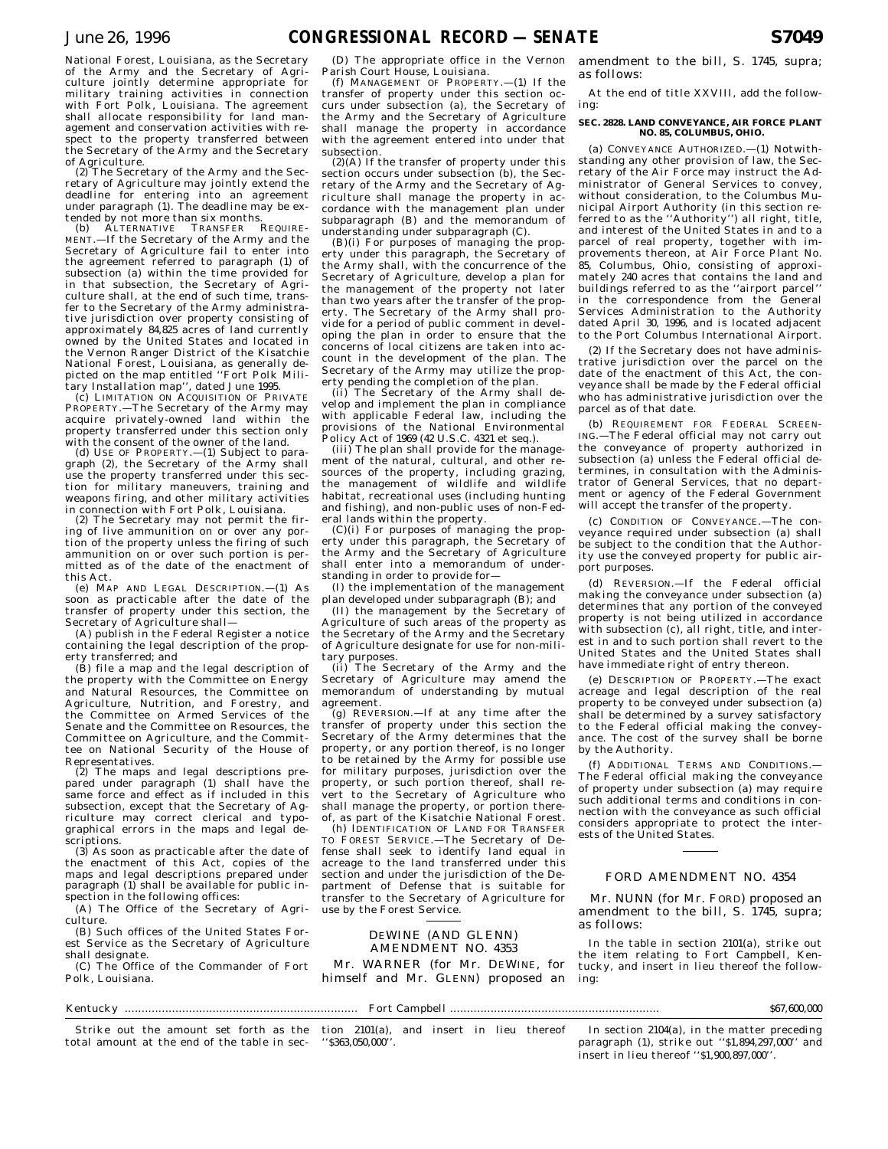National Forest, Louisiana, as the Secretary of the Army and the Secretary of Agriculture jointly determine appropriate for military training activities in connection with Fort Polk, Louisiana. The agreement shall allocate responsibility for land management and conservation activities with respect to the property transferred between the Secretary of the Army and the Secretary of Agriculture.

(2) The Secretary of the Army and the Secretary of Agriculture may jointly extend the deadline for entering into an agreement under paragraph (1). The deadline may be extended by not more than six months.

(b) ALTERNATIVE TRANSFER REQUIRE-MENT.—If the Secretary of the Army and the Secretary of Agriculture fail to enter into the agreement referred to paragraph (1) of subsection (a) within the time provided for in that subsection, the Secretary of Agri-culture shall, at the end of such time, transfer to the Secretary of the Army administrative jurisdiction over property consisting of approximately 84,825 acres of land currently owned by the United States and located in the Vernon Ranger District of the Kisatchie National Forest, Louisiana, as generally depicted on the map entitled ''Fort Polk Military Installation map'', dated June 1995.

(c) LIMITATION ON ACQUISITION OF PRIVATE PROPERTY.—The Secretary of the Army may acquire privately-owned land within the property transferred under this section only with the consent of the owner of the land.

(d) USE OF PROPERTY.—(1) Subject to paragraph (2), the Secretary of the Army shall use the property transferred under this section for military maneuvers, training and weapons firing, and other military activities in connection with Fort Polk, Louisiana.

(2) The Secretary may not permit the firing of live ammunition on or over any portion of the property unless the firing of such ammunition on or over such portion is permitted as of the date of the enactment of this Act.

(e) MAP AND LEGAL DESCRIPTION.—(1) As soon as practicable after the date of the transfer of property under this section, the Secretary of Agriculture shall—

(A) publish in the Federal Register a notice containing the legal description of the property transferred; and

(B) file a map and the legal description of the property with the Committee on Energy and Natural Resources, the Committee on Agriculture, Nutrition, and Forestry, and the Committee on Armed Services of the Senate and the Committee on Resources, the Committee on Agriculture, and the Committee on National Security of the House of Representatives.

(2) The maps and legal descriptions prepared under paragraph (1) shall have the same force and effect as if included in this subsection, except that the Secretary of Agriculture may correct clerical and typographical errors in the maps and legal descriptions.

(3) As soon as practicable after the date of the enactment of this Act, copies of the maps and legal descriptions prepared under paragraph (1) shall be available for public inspection in the following offices:

(A) The Office of the Secretary of Agriculture.

(B) Such offices of the United States Forest Service as the Secretary of Agriculture shall designate.

(C) The Office of the Commander of Fort Polk, Louisiana.

#### Kentucky ..................................................................... Fort Campbell .............................................................. \$67,600,000

Strike out the amount set forth as the tion 2101(a), and insert in lieu thereof total amount at the end of the table in sec-

(D) The appropriate office in the Vernon Parish Court House, Louisiana.

(f) MANAGEMENT OF PROPERTY.—(1) If the transfer of property under this section occurs under subsection (a), the Secretary of the Army and the Secretary of Agriculture shall manage the property in accordance with the agreement entered into under that subsection.

(2)(A) If the transfer of property under this section occurs under subsection (b), the Secretary of the Army and the Secretary of Agriculture shall manage the property in accordance with the management plan under subparagraph (B) and the memorandum of understanding under subparagraph (C). (B)(i) For purposes of managing the prop-

erty under this paragraph, the Secretary of the Army shall, with the concurrence of the Secretary of Agriculture, develop a plan for the management of the property not later than two years after the transfer of the property. The Secretary of the Army shall provide for a period of public comment in developing the plan in order to ensure that the concerns of local citizens are taken into account in the development of the plan. The Secretary of the Army may utilize the property pending the completion of the plan.

(ii) The Secretary of the Army shall develop and implement the plan in compliance with applicable Federal law, including the provisions of the National Environmental

Policy Act of 1969 (42 U.S.C. 4321 et seq.). (iii) The plan shall provide for the management of the natural, cultural, and other resources of the property, including grazing, the management of wildlife and wildlife habitat, recreational uses (including hunting and fishing), and non-public uses of non-Federal lands within the property.

 $(C)(i)$  For purposes of managing the property under this paragraph, the Secretary of the Army and the Secretary of Agriculture shall enter into a memorandum of understanding in order to provide for—

(I) the implementation of the management plan developed under subparagraph (B); and

(II) the management by the Secretary of Agriculture of such areas of the property as the Secretary of the Army and the Secretary of Agriculture designate for use for non-military purposes.

(ii) The Secretary of the Army and the Secretary of Agriculture may amend the memorandum of understanding by mutual agreement.

(g) REVERSION.—If at any time after the transfer of property under this section the Secretary of the Army determines that the property, or any portion thereof, is no longer to be retained by the Army for possible use for military purposes, jurisdiction over the property, or such portion thereof, shall revert to the Secretary of Agriculture who shall manage the property, or portion thereof, as part of the Kisatchie National Forest.

(h) IDENTIFICATION OF LAND FOR TRANSFER TO FOREST SERVICE.—The Secretary of Defense shall seek to identify land equal in acreage to the land transferred under this section and under the jurisdiction of the Department of Defense that is suitable for transfer to the Secretary of Agriculture for use by the Forest Service.

## DEWINE (AND GLENN) AMENDMENT NO. 4353

Mr. WARNER (for Mr. DEWINE, for himself and Mr. GLENN) proposed an

In section 2104(a), in the matter preceding

At the end of title XXVIII, add the following:

amendment to the bill, S. 1745, supra;

as follows:

#### **SEC. 2828. LAND CONVEYANCE, AIR FORCE PLANT NO. 85, COLUMBUS, OHIO.**

(a) CONVEYANCE AUTHORIZED.—(1) Notwithstanding any other provision of law, the Secretary of the Air Force may instruct the Administrator of General Services to convey, without consideration, to the Columbus Municipal Airport Authority (in this section referred to as the ''Authority'') all right, title, and interest of the United States in and to a parcel of real property, together with improvements thereon, at Air Force Plant No. 85, Columbus, Ohio, consisting of approximately 240 acres that contains the land and buildings referred to as the ''airport parcel'' in the correspondence from the General Services Administration to the Authority dated April 30, 1996, and is located adjacent to the Port Columbus International Airport.

(2) If the Secretary does not have administrative jurisdiction over the parcel on the date of the enactment of this Act, the conveyance shall be made by the Federal official who has administrative jurisdiction over the parcel as of that date.

(b) REQUIREMENT FOR FEDERAL SCREEN-ING.—The Federal official may not carry out the conveyance of property authorized in subsection (a) unless the Federal official determines, in consultation with the Administrator of General Services, that no department or agency of the Federal Government will accept the transfer of the property.

(c) CONDITION OF CONVEYANCE.—The conveyance required under subsection (a) shall be subject to the condition that the Authority use the conveyed property for public airport purposes.

(d) REVERSION.—If the Federal official making the conveyance under subsection (a) determines that any portion of the conveyed property is not being utilized in accordance with subsection (c), all right, title, and interest in and to such portion shall revert to the United States and the United States shall have immediate right of entry thereon.

(e) DESCRIPTION OF PROPERTY.—The exact acreage and legal description of the real property to be conveyed under subsection (a) shall be determined by a survey satisfactory to the Federal official making the conveyance. The cost of the survey shall be borne by the Authority.

(f) ADDITIONAL TERMS AND CONDITIONS.— The Federal official making the conveyance of property under subsection (a) may require such additional terms and conditions in connection with the conveyance as such official considers appropriate to protect the interests of the United States.

## FORD AMENDMENT NO. 4354

Mr. NUNN (for Mr. FORD) proposed an amendment to the bill, S. 1745, supra; as follows:

In the table in section 2101(a), strike out the item relating to Fort Campbell, Kentucky, and insert in lieu thereof the following:

''\$363,050,000''.

paragraph (1), strike out ''\$1,894,297,000'' and insert in lieu thereof ''\$1,900,897,000''.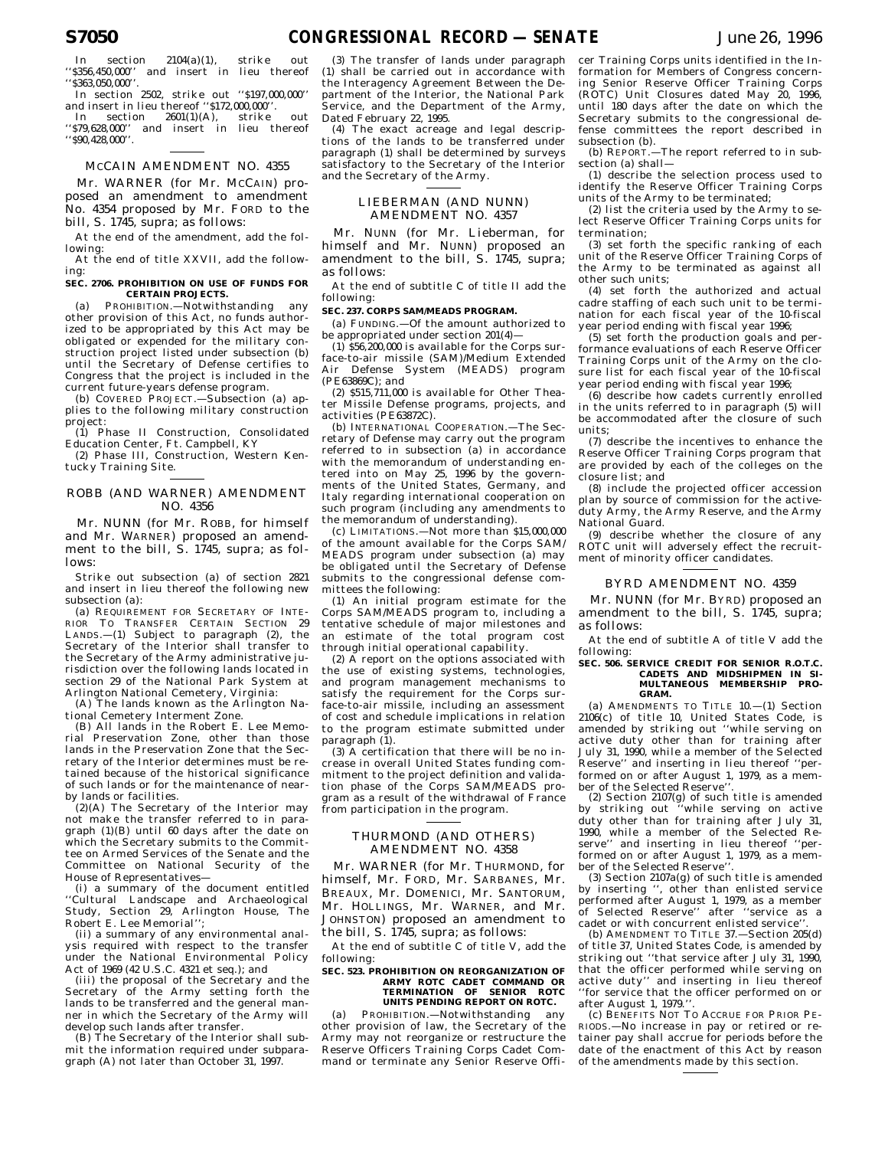In section  $2104(a)(1)$ , strike ''\$356,450,000'' and insert in lieu thereof ''\$363,050,000''.

In section 2502, strike out ''\$197,000,000'' and insert in lieu thereof ''\$172,000,000''.

In section 2601(1)(A), strike out '\$79,628,000'' and insert in lieu thereof ''\$90,428,000''.

## MCCAIN AMENDMENT NO. 4355

Mr. WARNER (for Mr. MCCAIN) proposed an amendment to amendment No. 4354 proposed by Mr. FORD to the bill, S. 1745, supra; as follows:

At the end of the amendment, add the following:

At the end of title XXVII, add the following:

#### **SEC. 2706. PROHIBITION ON USE OF FUNDS FOR CERTAIN PROJECTS.**

(a) PROHIBITION.—Notwithstanding any other provision of this Act, no funds authorized to be appropriated by this Act may be obligated or expended for the military construction project listed under subsection (b) until the Secretary of Defense certifies to Congress that the project is included in the current future-years defense program.

(b) COVERED PROJECT.—Subsection (a) applies to the following military construction project:

(1) Phase II Construction, Consolidated Education Center, Ft. Campbell, KY

(2) Phase III, Construction, Western Kentucky Training Site.

## ROBB (AND WARNER) AMENDMENT NO. 4356

Mr. NUNN (for Mr. ROBB, for himself and Mr. WARNER) proposed an amendment to the bill, S. 1745, supra; as follows:

Strike out subsection (a) of section 2821 and insert in lieu thereof the following new subsection (a):

(a) REQUIREMENT FOR SECRETARY OF INTE-RIOR TO TRANSFER CERTAIN SECTION 29 LANDS.—(1) Subject to paragraph (2), the Secretary of the Interior shall transfer to the Secretary of the Army administrative jurisdiction over the following lands located in section 29 of the National Park System at Arlington National Cemetery, Virginia:

(A) The lands known as the Arlington National Cemetery Interment Zone.

(B) All lands in the Robert E. Lee Memorial Preservation Zone, other than those lands in the Preservation Zone that the Secretary of the Interior determines must be retained because of the historical significance of such lands or for the maintenance of nearby lands or facilities.

(2)(A) The Secretary of the Interior may not make the transfer referred to in paragraph (1)(B) until 60 days after the date on which the Secretary submits to the Committee on Armed Services of the Senate and the Committee on National Security of the House of Representatives—

(i) a summary of the document entitled ''Cultural Landscape and Archaeological Study, Section 29, Arlington House, The Robert E. Lee Memorial'';

(ii) a summary of any environmental analysis required with respect to the transfer under the National Environmental Policy Act of 1969 (42 U.S.C. 4321 et seq.); and

(iii) the proposal of the Secretary and the Secretary of the Army setting forth the lands to be transferred and the general manner in which the Secretary of the Army will develop such lands after transfer.

(B) The Secretary of the Interior shall submit the information required under subparagraph (A) not later than October 31, 1997.

(3) The transfer of lands under paragraph (1) shall be carried out in accordance with the Interagency Agreement Between the Department of the Interior, the National Park .<br>Service, and the Department of the Army, Dated February 22, 1995.

(4) The exact acreage and legal descriptions of the lands to be transferred under paragraph (1) shall be determined by surveys satisfactory to the Secretary of the Interior and the Secretary of the Army.

## LIEBERMAN (AND NUNN) AMENDMENT NO. 4357

Mr. NUNN (for Mr. Lieberman, for himself and Mr. NUNN) proposed an amendment to the bill, S. 1745, supra; as follows:

At the end of subtitle C of title II add the following:

## **SEC. 237. CORPS SAM/MEADS PROGRAM.**

(a) FUNDING.—Of the amount authorized to be appropriated under section 201(4)-

(1) \$56,200,000 is available for the Corps surface-to-air missile (SAM)/Medium Extended Air Defense System (MEADS) program (PE63869C); and

(2) \$515,711,000 is available for Other Theater Missile Defense programs, projects, and activities (PE63872C).

(b) INTERNATIONAL COOPERATION.—The Secretary of Defense may carry out the program referred to in subsection (a) in accordance with the memorandum of understanding entered into on May 25, 1996 by the governments of the United States, Germany, and Italy regarding international cooperation on such program (including any amendments to the memorandum of understanding).

(c) LIMITATIONS.—Not more than \$15,000,000 of the amount available for the Corps SAM/ MEADS program under subsection (a) may be obligated until the Secretary of Defense submits to the congressional defense committees the following:

(1) An initial program estimate for the Corps SAM/MEADS program to, including a tentative schedule of major milestones and an estimate of the total program cost through initial operational capability.

 $(2)$  A report on the options associated with the use of existing systems, technologies, and program management mechanisms to satisfy the requirement for the Corps surface-to-air missile, including an assessment of cost and schedule implications in relation to the program estimate submitted under paragraph (1).

(3) A certification that there will be no increase in overall United States funding commitment to the project definition and validation phase of the Corps SAM/MEADS program as a result of the withdrawal of France from participation in the program.

## THURMOND (AND OTHERS) AMENDMENT NO. 4358

Mr. WARNER (for Mr. THURMOND, for himself, Mr. FORD, Mr. SARBANES, Mr. BREAUX, Mr. DOMENICI, Mr. SANTORUM, Mr. HOLLINGS, Mr. WARNER, and Mr. JOHNSTON) proposed an amendment to the bill, S. 1745, supra; as follows:

At the end of subtitle C of title V, add the following:

#### **SEC. 523. PROHIBITION ON REORGANIZATION OF ARMY ROTC CADET COMMAND OR TERMINATION OF SENIOR ROTC UNITS PENDING REPORT ON ROTC.**

(a) PROHIBITION.—Notwithstanding any other provision of law, the Secretary of the Army may not reorganize or restructure the Reserve Officers Training Corps Cadet Command or terminate any Senior Reserve Offi-

cer Training Corps units identified in the Information for Members of Congress concerning Senior Reserve Officer Training Corps (ROTC) Unit Closures dated May 20, 1996, until 180 days after the date on which the Secretary submits to the congressional defense committees the report described in subsection (b).

(b) REPORT.—The report referred to in subsection (a) shall—

(1) describe the selection process used to identify the Reserve Officer Training Corps units of the Army to be terminated;

(2) list the criteria used by the Army to select Reserve Officer Training Corps units for termination;

(3) set forth the specific ranking of each unit of the Reserve Officer Training Corps of the Army to be terminated as against all other such units;

(4) set forth the authorized and actual cadre staffing of each such unit to be termination for each fiscal year of the 10-fiscal year period ending with fiscal year 1996;

(5) set forth the production goals and performance evaluations of each Reserve Officer Training Corps unit of the Army on the closure list for each fiscal year of the 10-fiscal year period ending with fiscal year 1996;

(6) describe how cadets currently enrolled in the units referred to in paragraph (5) will be accommodated after the closure of such units;

(7) describe the incentives to enhance the Reserve Officer Training Corps program that are provided by each of the colleges on the closure list; and

(8) include the projected officer accession plan by source of commission for the activeduty Army, the Army Reserve, and the Army National Guard.

(9) describe whether the closure of any ROTC unit will adversely effect the recruitment of minority officer candidates.

### BYRD AMENDMENT NO. 4359

Mr. NUNN (for Mr. BYRD) proposed an amendment to the bill, S. 1745, supra; as follows:

At the end of subtitle A of title V add the following:

#### **SEC. 506. SERVICE CREDIT FOR SENIOR R.O.T.C. CADETS AND MIDSHIPMEN IN SI-MULTANEOUS MEMBERSHIP PRO-GRAM.**

(a) AMENDMENTS TO TITLE 10.—(1) Section 2106(c) of title 10, United States Code, is amended by striking out ''while serving on active duty other than for training after July 31, 1990, while a member of the Selected Reserve'' and inserting in lieu thereof ''performed on or after August 1, 1979, as a member of the Selected Reserve

(2) Section 2107(g) of such title is amended by striking out ''while serving on active duty other than for training after July 31, 1990, while a member of the Selected Reserve'' and inserting in lieu thereof ''performed on or after August 1, 1979, as a member of the Selected Reserve''.

(3) Section  $2107a(g)$  of such title is amended by inserting '', other than enlisted service performed after August 1, 1979, as a member of Selected Reserve'' after ''service as a cadet or with concurrent enlisted service'

(b) AMENDMENT TO TITLE 37.—Section 205(d) of title 37, United States Code, is amended by striking out "that service after July 31, 1990, that the officer performed while serving on active duty'' and inserting in lieu thereof ''for service that the officer performed on or after August 1, 1979.''.

(c) BENEFITS NOT TO ACCRUE FOR PRIOR PE-RIODS.—No increase in pay or retired or retainer pay shall accrue for periods before the date of the enactment of this Act by reason of the amendments made by this section.